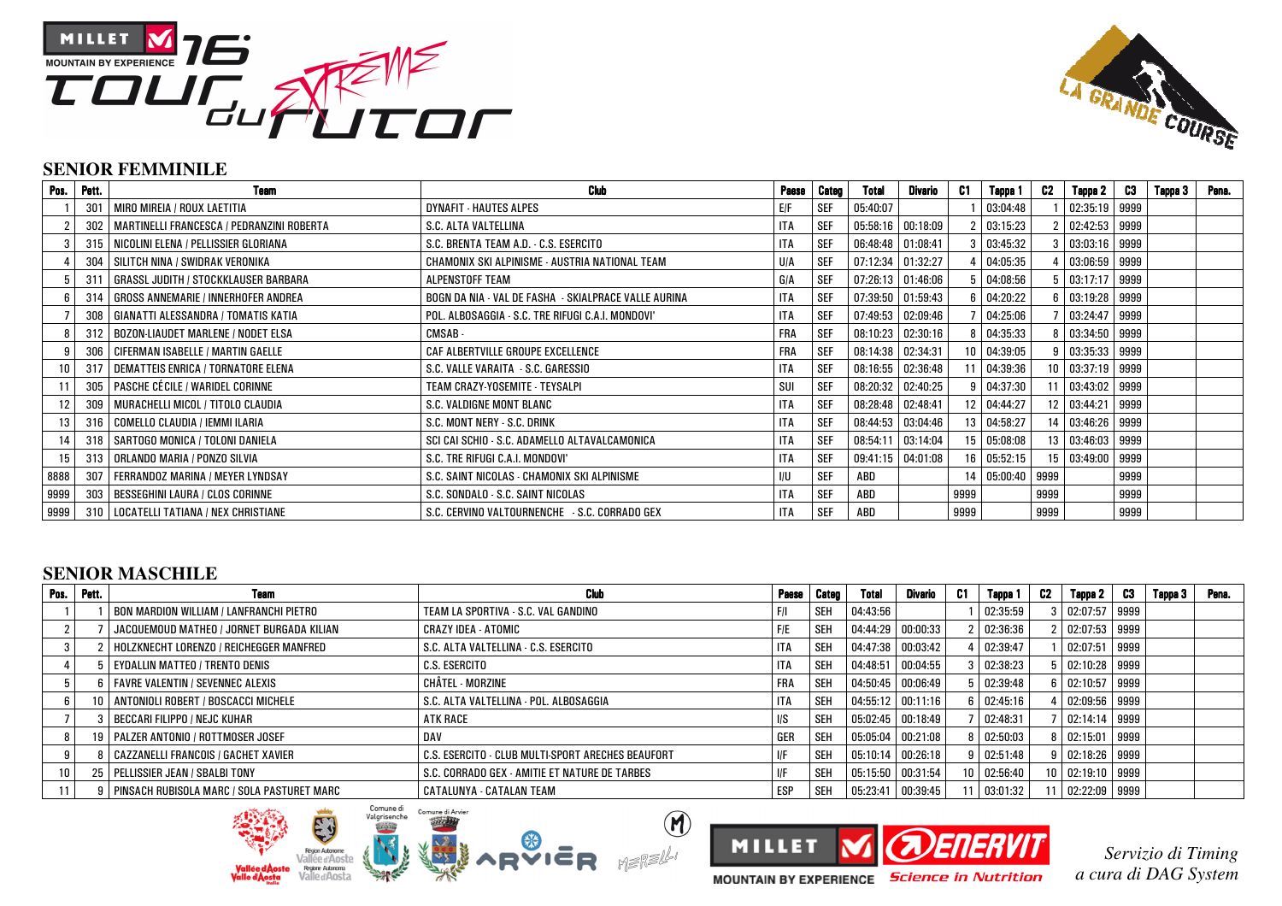



### **SENIOR FEMMINILE**

| Pos. | Pett.      | <b>Team</b>                                 | <b>Club</b>                                          | <b>Paese</b> | Categ      | Total             | Divario           | C1   | Tappa 1          | C2   | Tappa 2             | - C3 | Tappa 3 | Pena. |
|------|------------|---------------------------------------------|------------------------------------------------------|--------------|------------|-------------------|-------------------|------|------------------|------|---------------------|------|---------|-------|
|      | 301        | MIRO MIREIA / ROUX LAETITIA                 | <b>DYNAFIT - HAUTES ALPES</b>                        | E/F          | <b>SEF</b> | 05:40:07          |                   |      | 03:04:48         |      | $02:35:19$ 9999     |      |         |       |
|      | 302        | MARTINELLI FRANCESCA / PEDRANZINI ROBERTA   | S.C. ALTA VALTELLINA                                 | <b>ITA</b>   | <b>SEF</b> |                   | 05:58:16 00:18:09 |      | 03:15:23         |      | 2 02:42:53 9999     |      |         |       |
|      | 315        | NICOLINI ELENA / PELLISSIER GLORIANA        | S.C. BRENTA TEAM A.D. - C.S. ESERCITO                | <b>ITA</b>   | SEF        | 06:48:48 01:08:41 |                   |      | 03:45:32         |      | 3   03:03:16   9999 |      |         |       |
|      | 304        | SILITCH NINA / SWIDRAK VERONIKA             | CHAMONIX SKI ALPINISME - AUSTRIA NATIONAL TEAM       | U/A          | SEF        | 07:12:34 01:32:27 |                   |      | 04:05:35         |      | $03:06:59$ 9999     |      |         |       |
|      | $31^\circ$ | <b>GRASSL JUDITH / STOCKKLAUSER BARBARA</b> | ALPENSTOFF TEAM                                      | GIA          | <b>SEF</b> |                   | 07:26:13 01:46:06 |      | 04:08:56         |      | 5 03:17:17 9999     |      |         |       |
|      | 314        | <b>GROSS ANNEMARIE / INNERHOFER ANDREA</b>  | BOGN DA NIA - VAL DE FASHA - SKIALPRACE VALLE AURINA | <b>ITA</b>   | SEF        |                   | 07:39:50 01:59:43 |      | 04:20:22         |      | 6 03:19:28 9999     |      |         |       |
|      | 308        | GIANATTI ALESSANDRA / TOMATIS KATIA         | POL. ALBOSAGGIA - S.C. TRE RIFUGI C.A.I. MONDOVI'    | <b>ITA</b>   | <b>SEF</b> |                   | 07:49:53 02:09:46 |      | 04:25:06         |      | 7 03:24:47 9999     |      |         |       |
|      | 312        | BOZON-LIAUDET MARLENE / NODET ELSA          | CMSAB -                                              | <b>FRA</b>   | <b>SEF</b> | 08:10:23 02:30:16 |                   |      | 04:35:33         |      | 8 03:34:50 9999     |      |         |       |
|      | 306        | <b>CIFERMAN ISABELLE / MARTIN GAELLE</b>    | CAF ALBERTVILLE GROUPE EXCELLENCE                    | <b>FRA</b>   | <b>SEF</b> | 08:14:38 02:34:31 |                   |      | 10 04:39:05      |      | 9 03:35:33 9999     |      |         |       |
|      | 317        | DEMATTEIS ENRICA / TORNATORE ELENA          | S.C. VALLE VARAITA - S.C. GARESSIO                   | <b>ITA</b>   | <b>SEF</b> | 08:16:55 02:36:48 |                   |      | 11 04:39:36      |      | 10 03:37:19 9999    |      |         |       |
|      | 305        | PASCHE CÉCILE / WARIDEL CORINNE             | TEAM CRAZY-YOSEMITE - TEYSALPI                       | SUI          | <b>SEF</b> | 08:20:32 02:40:25 |                   |      | 04:37:30         |      | 11 03:43:02 9999    |      |         |       |
|      | 309        | MURACHELLI MICOL / TITOLO CLAUDIA           | S.C. VALDIGNE MONT BLANC                             | <b>ITA</b>   | <b>SEF</b> | 08:28:48 02:48:41 |                   |      | 12 04:44:27      |      | 12 03:44:21 9999    |      |         |       |
| 13   | 316        | COMELLO CLAUDIA / IEMMI ILARIA              | S.C. MONT NERY - S.C. DRINK                          | <b>ITA</b>   | <b>SEF</b> |                   | 08:44:53 03:04:46 |      | 13 04:58:27      |      | 14 03:46:26 9999    |      |         |       |
|      | 318        | SARTOGO MONICA / TOLONI DANIELA             | SCI CAI SCHIO - S.C. ADAMELLO ALTAVALCAMONICA        | <b>ITA</b>   | <b>SEF</b> |                   | 08:54:11 03:14:04 |      | 15 05:08:08      |      | 13 03:46:03 9999    |      |         |       |
|      | 313        | ORLANDO MARIA / PONZO SILVIA                | S.C. TRE RIFUGI C.A.I. MONDOVI'                      | <b>ITA</b>   | <b>SEF</b> |                   | 09:41:15 04:01:08 |      | 16 05:52:15      |      | 15 03:49:00 9999    |      |         |       |
| 8888 | 307        | FERRANDOZ MARINA / MEYER LYNDSAY            | S.C. SAINT NICOLAS - CHAMONIX SKI ALPINISME          | I/U          | SEF        | ABD               |                   |      | 14 05:00:40 9999 |      |                     | 9999 |         |       |
| 9999 | 303        | BESSEGHINI LAURA / CLOS CORINNE             | S.C. SONDALO - S.C. SAINT NICOLAS                    | <b>ITA</b>   | SEF        | ABD               |                   | 9999 |                  | 9999 |                     | 9999 |         |       |
| 9999 |            | 310   LOCATELLI TATIANA / NEX CHRISTIANE    | S.C. CERVINO VALTOURNENCHE - S.C. CORRADO GEX        | <b>ITA</b>   | <b>SEF</b> | ABD               |                   | 9999 |                  | 9999 |                     | 9999 |         |       |

# **SENIOR MASCHILE**

| Pos. Pett. | Team                                           | Club                                              | Paese      | Categ      | Total               | Divario             | C1 | Tappa 1           | C2 | Tappa 2             | C3 | Tappa 3 | Pena. |
|------------|------------------------------------------------|---------------------------------------------------|------------|------------|---------------------|---------------------|----|-------------------|----|---------------------|----|---------|-------|
|            | <b>BON MARDION WILLIAM / LANFRANCHI PIETRO</b> | TEAM LA SPORTIVA - S.C. VAL GANDINO               |            | l seh      | 04:43:56            |                     |    | 02:35:59          |    | 3 02:07:57 9999     |    |         |       |
|            | JACQUEMOUD MATHEO / JORNET BURGADA KILIAN      | <b>CRAZY IDEA - ATOMIC</b>                        | F/E        | l seh      |                     | 04:44:29 00:00:33   |    | 02:36:36          |    | 02:07:53 9999       |    |         |       |
|            | HOLZKNECHT LORENZO / REICHEGGER MANFRED        | S.C. ALTA VALTELLINA - C.S. ESERCITO              | ITA        | l seh      | 04:47:38 00:03:42   |                     |    | 02:39:47          |    | 02:07:51 9999       |    |         |       |
|            | <b>EYDALLIN MATTEO / TRENTO DENIS</b>          | C.S. ESERCITO                                     | ITA        | l SEH      |                     | 04:48:51 00:04:55   |    | 02:38:23          |    | 5   02:10:28   9999 |    |         |       |
|            | <b>FAVRE VALENTIN / SEVENNEC ALEXIS</b>        | CHÂTEL - MORZINE                                  | <b>FRA</b> | <b>SEH</b> |                     | 04:50:45 00:06:49   |    | 02:39:48          |    | 6 02:10:57 9999     |    |         |       |
|            | 10   ANTONIOLI ROBERT / BOSCACCI MICHELE       | S.C. ALTA VALTELLINA - POL. ALBOSAGGIA            | <b>ITA</b> | <b>SEH</b> | $04:55:12$ 00:11:16 |                     |    | $6 \mid 02:45:16$ |    | 02:09:56 9999       |    |         |       |
|            | BECCARI FILIPPO / NEJC KUHAR                   | <b>ATK RACE</b>                                   | I/S        | l sef      |                     | 05:02:45 00:18:49   |    | 02:48:31          |    | 02:14:14 9999       |    |         |       |
|            | <b>PALZER ANTONIO / ROTTMOSER JOSEF</b>        | <b>DAV</b>                                        | GER        | <b>SEH</b> |                     | $05:05:04$ 00:21:08 |    | $8 \mid 02:50:03$ |    | 8 02:15:01 9999     |    |         |       |
|            | <b>CAZZANELLI FRANCOIS / GACHET XAVIER</b>     | C.S. ESERCITO - CLUB MULTI-SPORT ARECHES BEAUFORT |            | <b>SEH</b> | 05:10:14 00:26:18   |                     |    | $9 \mid 02:51:48$ |    | 9   02:18:26   9999 |    |         |       |
|            | 25   PELLISSIER JEAN / SBALBI TONY             | S.C. CORRADO GEX - AMITIE ET NATURE DE TARBES     |            | <b>SEH</b> | 05:15:50 00:31:54   |                     |    | 10 02:56:40       |    | 10 02:19:10 9999    |    |         |       |
|            | 9   PINSACH RUBISOLA MARC / SOLA PASTURET MARC | <b>CATALUNYA - CATALAN TEAM</b>                   | ESP        | <b>SEH</b> | $05:23:41$ 00:39:45 |                     |    | 03:01:32          |    | 11 02:22:09 9999    |    |         |       |







*Servizio di Timing a cura di DAG System*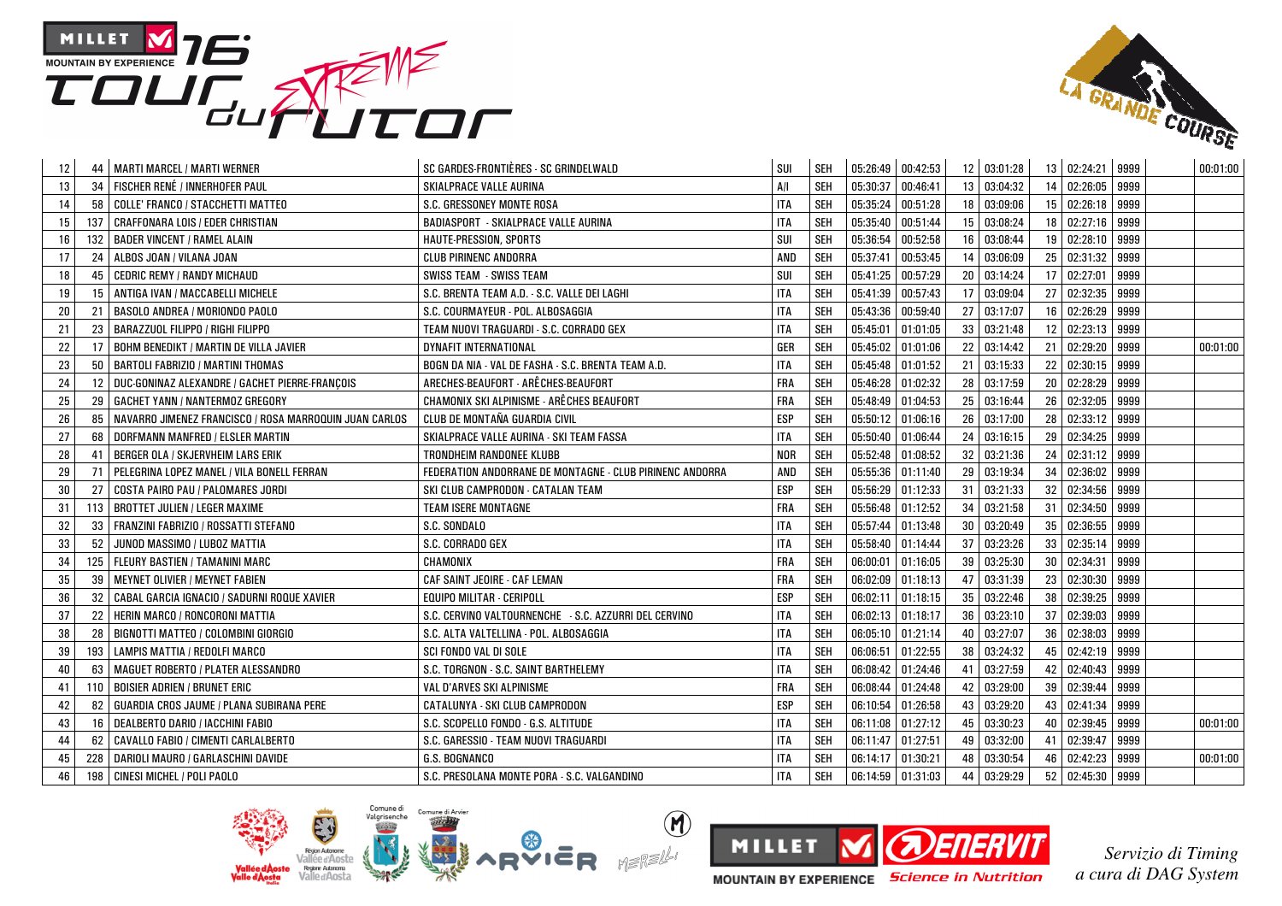



| 12 | 44  | MARTI MARCEL / MARTI WERNER                            | SC GARDES-FRONTIÈRES - SC GRINDELWALD                    | SUI        | <b>SEH</b> | 05:26:49 00:42:53 |          |    | 12 03:01:28 |    | 13 02:24:21 9999 |      | 00:01:00 |
|----|-----|--------------------------------------------------------|----------------------------------------------------------|------------|------------|-------------------|----------|----|-------------|----|------------------|------|----------|
| 13 | 34  | FISCHER RENÉ / INNERHOFER PAUL                         | SKIALPRACE VALLE AURINA                                  | A/I        | SEH        | 05:30:37          | 00:46:41 | 13 | 03:04:32    |    | 14 02:26:05 9999 |      |          |
| 14 | 58  | <b>COLLE' FRANCO / STACCHETTI MATTEO</b>               | S.C. GRESSONEY MONTE ROSA                                | <b>ITA</b> | SEH        | 05:35:24          | 00:51:28 | 18 | 03:09:06    |    | 15 02:26:18      | 9999 |          |
| 15 | 137 | CRAFFONARA LOIS / EDER CHRISTIAN                       | <b>BADIASPORT - SKIALPRACE VALLE AURINA</b>              | <b>ITA</b> | <b>SEH</b> | 05:35:40          | 00:51:44 | 15 | 03:08:24    |    | 18 02:27:16      | 9999 |          |
| 16 | 132 | <b>BADER VINCENT / RAMEL ALAIN</b>                     | HAUTE-PRESSION, SPORTS                                   | SUI        | <b>SEH</b> | 05:36:54          | 00:52:58 | 16 | 03:08:44    |    | 19 02:28:10      | 9999 |          |
| 17 | 24  | ALBOS JOAN / VILANA JOAN                               | <b>CLUB PIRINENC ANDORRA</b>                             | AND        | <b>SEH</b> | 05:37:41          | 00:53:45 | 14 | 03:06:09    |    | 25 02:31:32 9999 |      |          |
| 18 | 45  | <b>CEDRIC REMY / RANDY MICHAUD</b>                     | <b>SWISS TEAM - SWISS TEAM</b>                           | SUI        | <b>SEH</b> | 05:41:25          | 00:57:29 | 20 | 03:14:24    |    | 17 02:27:01 9999 |      |          |
| 19 | 15  | ANTIGA IVAN / MACCABELLI MICHELE                       | S.C. BRENTA TEAM A.D. - S.C. VALLE DEI LAGHI             | <b>ITA</b> | SEH        | 05:41:39          | 00:57:43 | 17 | 03:09:04    |    | 27 02:32:35      | 9999 |          |
| 20 | 21  | BASOLO ANDREA / MORIONDO PAOLO                         | S.C. COURMAYEUR - POL. ALBOSAGGIA                        | <b>ITA</b> | <b>SEH</b> | 05:43:36          | 00:59:40 | 27 | 03:17:07    | 16 | 02:26:29         | 9999 |          |
| 21 | 23  | BARAZZUOL FILIPPO / RIGHI FILIPPO                      | TEAM NUOVI TRAGUARDI - S.C. CORRADO GEX                  | <b>ITA</b> | <b>SEH</b> | 05:45:01          | 01:01:05 | 33 | 03:21:48    |    | 12 02:23:13      | 9999 |          |
| 22 | 17  | BOHM BENEDIKT / MARTIN DE VILLA JAVIER                 | <b>DYNAFIT INTERNATIONAL</b>                             | GER        | <b>SEH</b> | 05:45:02          | 01:01:06 | 22 | 03:14:42    |    | 21 02:29:20      | 9999 | 00:01:00 |
| 23 | 50  | <b>BARTOLI FABRIZIO / MARTINI THOMAS</b>               | BOGN DA NIA - VAL DE FASHA - S.C. BRENTA TEAM A.D.       | <b>ITA</b> | <b>SEH</b> | 05:45:48          | 01:01:52 | 21 | 03:15:33    |    | 22 02:30:15      | 9999 |          |
| 24 | 12  | DUC-GONINAZ ALEXANDRE / GACHET PIERRE-FRANCOIS         | ARECHES-BEAUFORT - ARÊCHES-BEAUFORT                      | FRA        | SEH        | 05:46:28          | 01:02:32 | 28 | 03:17:59    |    | 20 02:28:29      | 9999 |          |
| 25 | 29  | <b>GACHET YANN / NANTERMOZ GREGORY</b>                 | CHAMONIX SKI ALPINISME - ARÊCHES BEAUFORT                | <b>FRA</b> | <b>SEH</b> | 05:48:49 01:04:53 |          | 25 | 03:16:44    |    | 26 02:32:05 9999 |      |          |
| 26 | 85  | NAVARRO JIMENEZ FRANCISCO / ROSA MARROQUIN JUAN CARLOS | CLUB DE MONTAÑA GUARDIA CIVIL                            | <b>ESP</b> | <b>SEH</b> | 05:50:12 01:06:16 |          | 26 | 03:17:00    |    | 28 02:33:12      | 9999 |          |
| 27 | 68  | DORFMANN MANFRED / ELSLER MARTIN                       | SKIALPRACE VALLE AURINA - SKI TEAM FASSA                 | <b>ITA</b> | <b>SEH</b> | 05:50:40          | 01:06:44 | 24 | 03:16:15    |    | 29 02:34:25      | 9999 |          |
| 28 | 41  | BERGER OLA / SKJERVHEIM LARS ERIK                      | TRONDHEIM RANDONEE KLUBB                                 | <b>NOR</b> | SEH        | 05:52:48 01:08:52 |          | 32 | 03:21:36    |    | 24 02:31:12 9999 |      |          |
| 29 | 71  | PELEGRINA LOPEZ MANEL / VILA BONELL FERRAN             | FEDERATION ANDORRANE DE MONTAGNE - CLUB PIRINENC ANDORRA | AND        | <b>SEH</b> | 05:55:36          | 01:11:40 | 29 | 03:19:34    |    | 34 02:36:02 9999 |      |          |
| 30 | 27  | COSTA PAIRO PAU / PALOMARES JORDI                      | SKI CLUB CAMPRODON - CATALAN TEAM                        | <b>ESP</b> | <b>SEH</b> | 05:56:29          | 01:12:33 | 31 | 03:21:33    |    | 32 02:34:56      | 9999 |          |
| 31 | 113 | <b>BROTTET JULIEN / LEGER MAXIME</b>                   | <b>TEAM ISERE MONTAGNE</b>                               | <b>FRA</b> | SEH        | 05:56:48          | 01:12:52 | 34 | 03:21:58    |    | 31 02:34:50 9999 |      |          |
| 32 | 33  | FRANZINI FABRIZIO / ROSSATTI STEFANO                   | S.C. SONDALO                                             | <b>ITA</b> | SEH        | 05:57:44 01:13:48 |          | 30 | 03:20:49    |    | 35 02:36:55 9999 |      |          |
| 33 | 52  | JUNOD MASSIMO / LUBOZ MATTIA                           | S.C. CORRADO GEX                                         | <b>ITA</b> | <b>SEH</b> | 05:58:40          | 01:14:44 | 37 | 03:23:26    |    | 33 02:35:14      | 9999 |          |
| 34 | 125 | <b>FLEURY BASTIEN / TAMANINI MARC</b>                  | CHAMONIX                                                 | <b>FRA</b> | SEH        | 06:00:01          | 01:16:05 | 39 | 03:25:30    |    | 30 02:34:31      | 9999 |          |
| 35 | 39  | <b>MEYNET OLIVIER / MEYNET FABIEN</b>                  | CAF SAINT JEOIRE - CAF LEMAN                             | <b>FRA</b> | <b>SEH</b> | 06:02:09          | 01:18:13 | 47 | 03:31:39    |    | 23 02:30:30      | 9999 |          |
| 36 | 32  | CABAL GARCIA IGNACIO / SADURNI ROQUE XAVIER            | <b>EQUIPO MILITAR - CERIPOLL</b>                         | <b>ESP</b> | <b>SEH</b> | 06:02:11          | 01:18:15 | 35 | 03:22:46    |    | 38 02:39:25      | 9999 |          |
| 37 | 22  | <b>HERIN MARCO / RONCORONI MATTIA</b>                  | S.C. CERVINO VALTOURNENCHE - S.C. AZZURRI DEL CERVINO    | <b>ITA</b> | <b>SEH</b> | 06:02:13          | 01:18:17 | 36 | 03:23:10    |    | 37 02:39:03      | 9999 |          |
| 38 | 28  | BIGNOTTI MATTEO / COLOMBINI GIORGIO                    | S.C. ALTA VALTELLINA - POL. ALBOSAGGIA                   | <b>ITA</b> | <b>SEH</b> | 06:05:10          | 01:21:14 | 40 | 03:27:07    |    | 36 02:38:03      | 9999 |          |
| 39 | 193 | LAMPIS MATTIA / REDOLFI MARCO                          | SCI FONDO VAL DI SOLE                                    | <b>ITA</b> | SEH        | 06:06:51          | 01:22:55 | 38 | 03:24:32    |    | 45 02:42:19      | 9999 |          |
| 40 | 63  | MAGUET ROBERTO / PLATER ALESSANDRO                     | S.C. TORGNON - S.C. SAINT BARTHELEMY                     | <b>ITA</b> | SEH        | 06:08:42 01:24:46 |          | 41 | 03:27:59    |    | 42 02:40:43 9999 |      |          |
| 41 | 110 | <b>BOISIER ADRIEN / BRUNET ERIC</b>                    | VAL D'ARVES SKI ALPINISME                                | <b>FRA</b> | <b>SEH</b> | 06:08:44          | 01:24:48 | 42 | 03:29:00    |    | 39 02:39:44 9999 |      |          |
| 42 | 82  | GUARDIA CROS JAUME / PLANA SUBIRANA PERE               | CATALUNYA - SKI CLUB CAMPRODON                           | <b>ESP</b> | <b>SEH</b> | 06:10:54          | 01:26:58 | 43 | 03:29:20    |    | 43 02:41:34      | 9999 |          |
| 43 | 16  | DEALBERTO DARIO / IACCHINI FABIO                       | S.C. SCOPELLO FONDO - G.S. ALTITUDE                      | <b>ITA</b> | <b>SEH</b> | 06:11:08          | 01:27:12 | 45 | 03:30:23    |    | 40 02:39:45      | 9999 | 00:01:00 |
| 44 | 62  | CAVALLO FABIO / CIMENTI CARLALBERTO                    | S.C. GARESSIO - TEAM NUOVI TRAGUARDI                     | <b>ITA</b> | SEH        | 06:11:47          | 01:27:51 | 49 | 03:32:00    |    | 41 02:39:47      | 9999 |          |
| 45 | 228 | DARIOLI MAURO / GARLASCHINI DAVIDE                     | G.S. BOGNANCO                                            | <b>ITA</b> | <b>SEH</b> | 06:14:17          | 01:30:21 | 48 | 03:30:54    |    | 46 02:42:23      | 9999 | 00:01:00 |
| 46 | 198 | CINESI MICHEL / POLI PAOLO                             | S.C. PRESOLANA MONTE PORA - S.C. VALGANDINO              | <b>ITA</b> | <b>SEH</b> | 06:14:59 01:31:03 |          | 44 | 03:29:29    |    | 52 02:45:30 9999 |      |          |



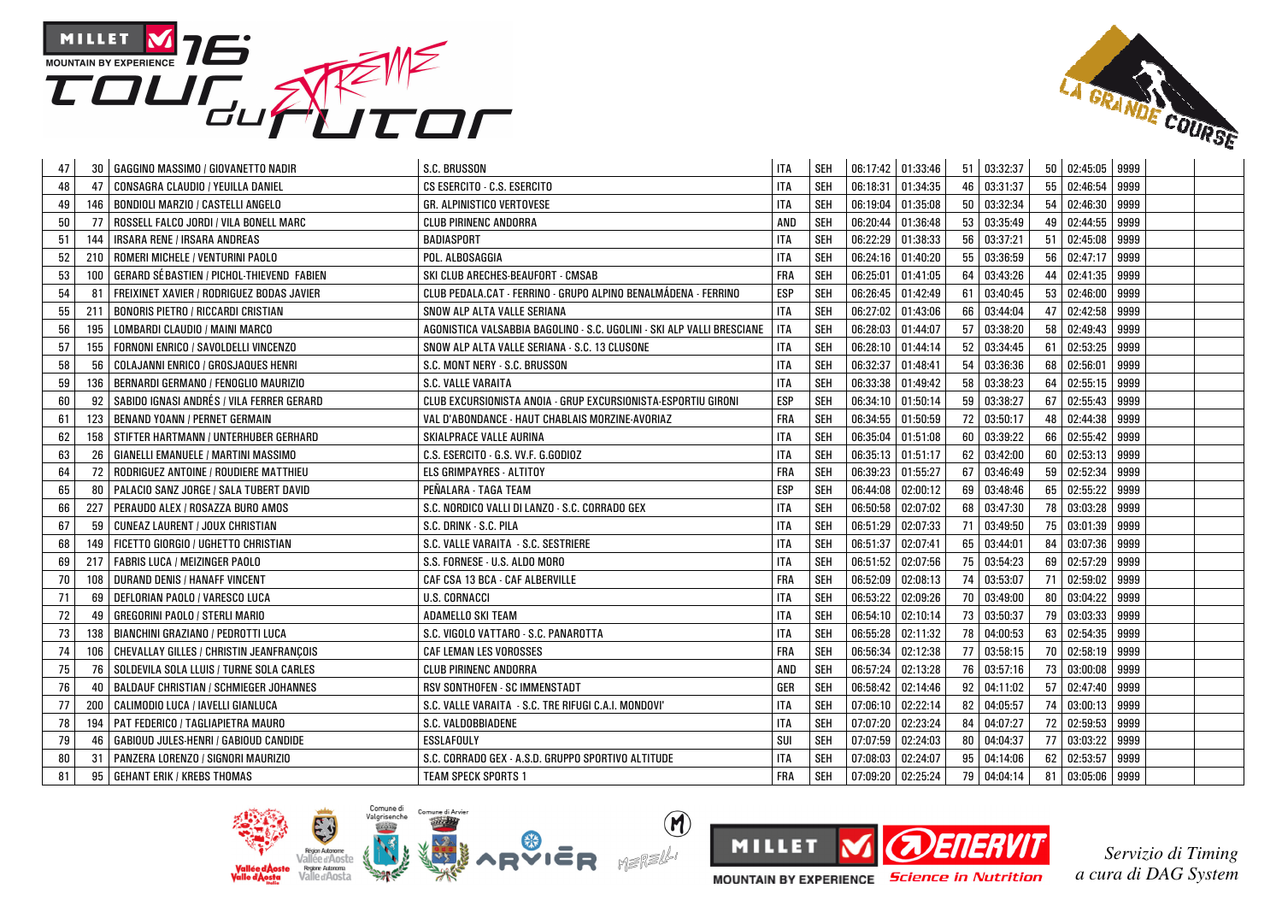



| 47 | 30  | GAGGINO MASSIMO / GIOVANETTO NADIR            | S.C. BRUSSON                                                           | <b>ITA</b> | <b>SEH</b> | 06:17:42 01:33:46 |          | 51 | 03:32:37 |    | 50 02:45:05 9999 |      |  |
|----|-----|-----------------------------------------------|------------------------------------------------------------------------|------------|------------|-------------------|----------|----|----------|----|------------------|------|--|
| 48 | 47  | CONSAGRA CLAUDIO / YEUILLA DANIEL             | CS ESERCITO - C.S. ESERCITO                                            | <b>ITA</b> | SEH        | 06:18:31          | 01:34:35 | 46 | 03:31:37 |    | 55 02:46:54      | 9999 |  |
| 49 | 146 | <b>BONDIOLI MARZIO / CASTELLI ANGELO</b>      | GR. ALPINISTICO VERTOVESE                                              | <b>ITA</b> | SEH        | 06:19:04          | 01:35:08 | 50 | 03:32:34 |    | 54   02:46:30    | 9999 |  |
| 50 | 77  | ROSSELL FALCO JORDI / VILA BONELL MARC        | CLUB PIRINENC ANDORRA                                                  | AND        | <b>SEH</b> | 06:20:44          | 01:36:48 | 53 | 03:35:49 | 49 | 02:44:55         | 9999 |  |
| 51 | 144 | IRSARA RENE / IRSARA ANDREAS                  | BADIASPORT                                                             | <b>ITA</b> | SEH        | 06:22:29          | 01:38:33 | 56 | 03:37:21 |    | 51 02:45:08      | 9999 |  |
| 52 | 210 | ROMERI MICHELE / VENTURINI PAOLO              | POL. ALBOSAGGIA                                                        | <b>ITA</b> | SEH        | 06:24:16          | 01:40:20 | 55 | 03:36:59 |    | 56 02:47:17      | 9999 |  |
| 53 | 100 | GERARD SÉBASTIEN / PICHOL·THIEVEND FABIEN     | SKI CLUB ARECHES-BEAUFORT - CMSAB                                      | <b>FRA</b> | <b>SEH</b> | 06:25:01          | 01:41:05 | 64 | 03:43:26 |    | 44 02:41:35      | 9999 |  |
| 54 | -81 | FREIXINET XAVIER / RODRIGUEZ BODAS JAVIER     | CLUB PEDALA.CAT - FERRINO - GRUPO ALPINO BENALMÁDENA - FERRINO         | <b>ESP</b> | SEH        | 06:26:45          | 01:42:49 | 61 | 03:40:45 | 53 | 02:46:00         | 9999 |  |
| 55 | 211 | <b>BONORIS PIETRO / RICCARDI CRISTIAN</b>     | SNOW ALP ALTA VALLE SERIANA                                            | <b>ITA</b> | <b>SEH</b> | 06:27:02          | 01:43:06 | 66 | 03:44:04 | 47 | 02:42:58         | 9999 |  |
| 56 | 195 | LOMBARDI CLAUDIO / MAINI MARCO                | AGONISTICA VALSABBIA BAGOLINO - S.C. UGOLINI - SKI ALP VALLI BRESCIANE | <b>ITA</b> | SEH        | 06:28:03          | 01:44:07 | 57 | 03:38:20 |    | 58 02:49:43      | 9999 |  |
| 57 | 155 | FORNONI ENRICO / SAVOLDELLI VINCENZO          | SNOW ALP ALTA VALLE SERIANA - S.C. 13 CLUSONE                          | <b>ITA</b> | SEH        | 06:28:10          | 01:44:14 | 52 | 03:34:45 | 61 | 02:53:25         | 9999 |  |
| 58 | 56  | COLAJANNI ENRICO / GROSJAQUES HENRI           | S.C. MONT NERY - S.C. BRUSSON                                          | <b>ITA</b> | <b>SEH</b> | 06:32:37          | 01:48:41 | 54 | 03:36:36 | 68 | 02:56:01         | 9999 |  |
| 59 | 136 | BERNARDI GERMANO / FENOGLIO MAURIZIO          | S.C. VALLE VARAITA                                                     | <b>ITA</b> | SEH        | 06:33:38          | 01:49:42 | 58 | 03:38:23 | 64 | 02:55:15         | 9999 |  |
| 60 | 92  | I SABIDO IGNASI ANDRÉS / VILA FERRER GERARD   | CLUB EXCURSIONISTA ANOIA - GRUP EXCURSIONISTA-ESPORTIU GIRONI          | <b>ESP</b> | <b>SEH</b> | 06:34:10          | 01:50:14 | 59 | 03:38:27 |    | 67 02:55:43      | 9999 |  |
| 61 | 123 | <b>BENAND YOANN / PERNET GERMAIN</b>          | VAL D'ABONDANCE - HAUT CHABLAIS MORZINE-AVORIAZ                        | FRA        | <b>SEH</b> | 06:34:55          | 01:50:59 | 72 | 03:50:17 |    | 48 02:44:38      | 9999 |  |
| 62 | 158 | STIFTER HARTMANN / UNTERHUBER GERHARD         | SKIALPRACE VALLE AURINA                                                | <b>ITA</b> | SEH        | 06:35:04          | 01:51:08 | 60 | 03:39:22 | 66 | 02:55:42         | 9999 |  |
| 63 | 26  | <b>GIANELLI EMANUELE / MARTINI MASSIMO</b>    | C.S. ESERCITO - G.S. VV.F. G.GODIOZ                                    | <b>ITA</b> | SEH        | 06:35:13          | 01:51:17 | 62 | 03:42:00 |    | 60 02:53:13      | 9999 |  |
| 64 | 72  | RODRIGUEZ ANTOINE / ROUDIERE MATTHIEU         | ELS GRIMPAYRES - ALTITOY                                               | <b>FRA</b> | <b>SEH</b> | 06:39:23          | 01:55:27 | 67 | 03:46:49 |    | 59 02:52:34      | 9999 |  |
| 65 | 80  | PALACIO SANZ JORGE / SALA TUBERT DAVID        | PEÑALARA - TAGA TEAM                                                   | <b>ESP</b> | <b>SEH</b> | 06:44:08          | 02:00:12 | 69 | 03:48:46 | 65 | 02:55:22         | 9999 |  |
| 66 | 227 | PERAUDO ALEX / ROSAZZA BURO AMOS              | S.C. NORDICO VALLI DI LANZO - S.C. CORRADO GEX                         | <b>ITA</b> | <b>SEH</b> | 06:50:58          | 02:07:02 | 68 | 03:47:30 |    | 78 03:03:28      | 9999 |  |
| 67 | 59  | <b>CUNEAZ LAURENT / JOUX CHRISTIAN</b>        | S.C. DRINK - S.C. PILA                                                 | <b>ITA</b> | SEH        | 06:51:29          | 02:07:33 | 71 | 03:49:50 |    | 75 03:01:39      | 9999 |  |
| 68 | 149 | FICETTO GIORGIO / UGHETTO CHRISTIAN           | S.C. VALLE VARAITA - S.C. SESTRIERE                                    | <b>ITA</b> | <b>SEH</b> | 06:51:37          | 02:07:41 | 65 | 03:44:01 |    | 84 03:07:36      | 9999 |  |
| 69 | 217 | <b>FABRIS LUCA / MEIZINGER PAOLO</b>          | S.S. FORNESE - U.S. ALDO MORO                                          | <b>ITA</b> | SEH        | 06:51:52          | 02:07:56 | 75 | 03:54:23 | 69 | 02:57:29         | 9999 |  |
| 70 | 108 | DURAND DENIS / HANAFF VINCENT                 | CAF CSA 13 BCA - CAF ALBERVILLE                                        | <b>FRA</b> | SEH        | 06:52:09          | 02:08:13 | 74 | 03:53:07 | 71 | 02:59:02         | 9999 |  |
| 71 | 69  | DEFLORIAN PAOLO / VARESCO LUCA                | <b>U.S. CORNACCI</b>                                                   | <b>ITA</b> | SEH        | 06:53:22          | 02:09:26 | 70 | 03:49:00 |    | 80 03:04:22      | 9999 |  |
| 72 | 49  | <b>GREGORINI PAOLO / STERLI MARIO</b>         | ADAMELLO SKI TEAM                                                      | <b>ITA</b> | SEH        | 06:54:10          | 02:10:14 | 73 | 03:50:37 | 79 | 03:03:33         | 9999 |  |
| 73 | 138 | BIANCHINI GRAZIANO / PEDROTTI LUCA            | S.C. VIGOLO VATTARO - S.C. PANAROTTA                                   | <b>ITA</b> | <b>SEH</b> | 06:55:28          | 02:11:32 | 78 | 04:00:53 | 63 | 02:54:35         | 9999 |  |
| 74 | 106 | CHEVALLAY GILLES / CHRISTIN JEANFRANCOIS      | <b>CAF LEMAN LES VOROSSES</b>                                          | <b>FRA</b> | SEH        | 06:56:34          | 02:12:38 | 77 | 03:58:15 |    | 70 02:58:19      | 9999 |  |
| 75 | 76  | SOLDEVILA SOLA LLUIS / TURNE SOLA CARLES      | CLUB PIRINENC ANDORRA                                                  | AND        | SEH        | 06:57:24          | 02:13:28 | 76 | 03:57:16 |    | 73 03:00:08      | 9999 |  |
| 76 | 40  | <b>BALDAUF CHRISTIAN / SCHMIEGER JOHANNES</b> | RSV SONTHOFEN - SC IMMENSTADT                                          | GER        | SEH        | 06:58:42          | 02:14:46 | 92 | 04:11:02 |    | 57 02:47:40      | 9999 |  |
| 77 | 200 | CALIMODIO LUCA / IAVELLI GIANLUCA             | S.C. VALLE VARAITA - S.C. TRE RIFUGI C.A.I. MONDOVI'                   | <b>ITA</b> | <b>SEH</b> | 07:06:10          | 02:22:14 | 82 | 04:05:57 | 74 | 03:00:13         | 9999 |  |
| 78 | 194 | PAT FEDERICO / TAGLIAPIETRA MAURO             | S.C. VALDOBBIADENE                                                     | <b>ITA</b> | SEH        | 07:07:20          | 02:23:24 | 84 | 04:07:27 |    | 72 02:59:53      | 9999 |  |
| 79 | 46  | GABIOUD JULES-HENRI / GABIOUD CANDIDE         | <b>ESSLAFOULY</b>                                                      | SUI        | SEH        | 07:07:59          | 02:24:03 | 80 | 04:04:37 |    | 77 03:03:22      | 9999 |  |
| 80 | 31  | PANZERA LORENZO / SIGNORI MAURIZIO            | S.C. CORRADO GEX - A.S.D. GRUPPO SPORTIVO ALTITUDE                     | <b>ITA</b> | <b>SEH</b> | 07:08:03          | 02:24:07 | 95 | 04:14:06 | 62 | 02:53:57         | 9999 |  |
| 81 | 95  | <b>GEHANT ERIK / KREBS THOMAS</b>             | <b>TEAM SPECK SPORTS 1</b>                                             | <b>FRA</b> | <b>SEH</b> | 07:09:20          | 02:25:24 | 79 | 04:04:14 |    | 81 03:05:06 9999 |      |  |



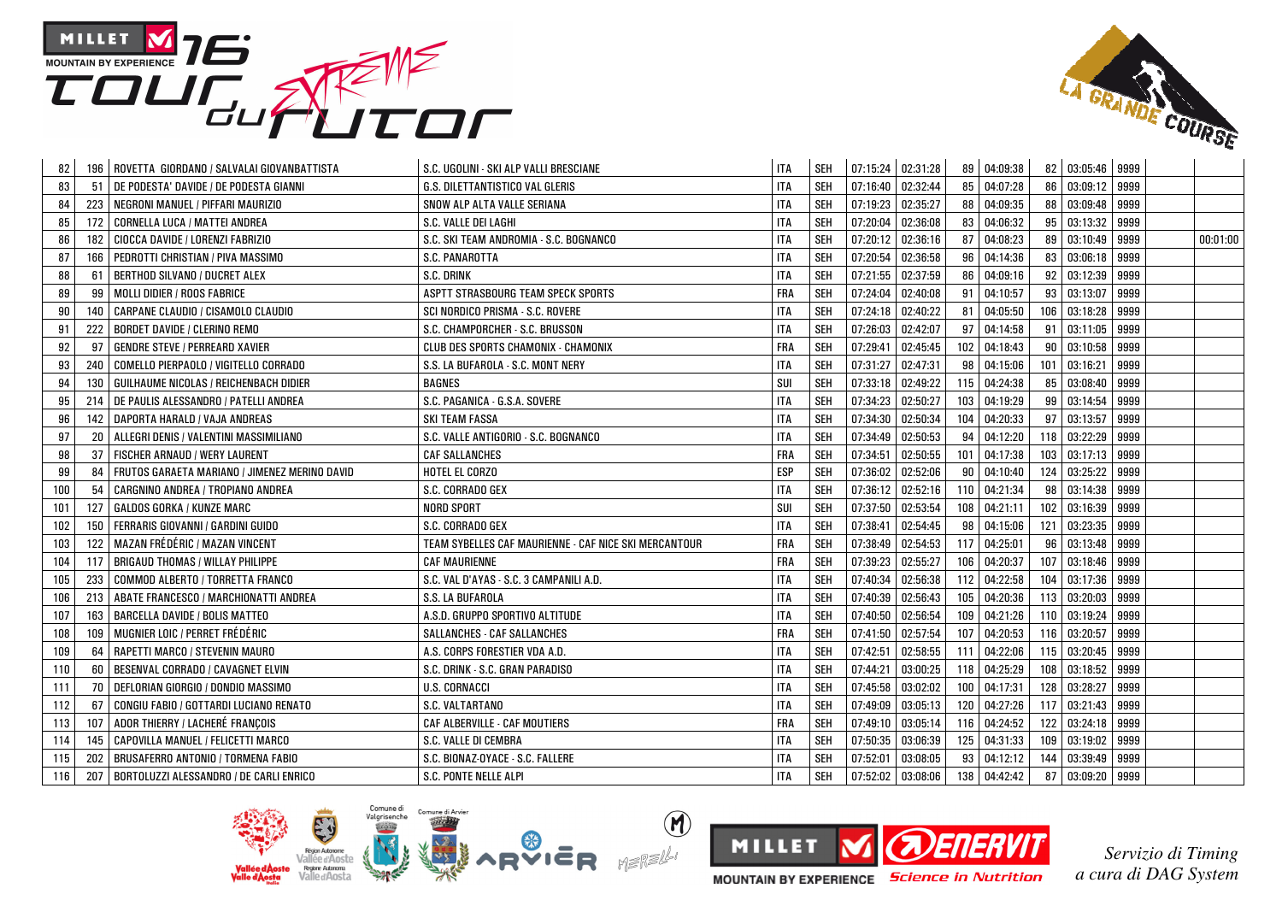



| 82  |     | 196   ROVETTA GIORDANO / SALVALAI GIOVANBATTISTA | S.C. UGOLINI - SKI ALP VALLI BRESCIANE                | <b>ITA</b> | <b>SEH</b> | 07:15:24 02:31:28   |          |     | 89 04:09:38  |     | 82 03:05:46 9999  |      |          |
|-----|-----|--------------------------------------------------|-------------------------------------------------------|------------|------------|---------------------|----------|-----|--------------|-----|-------------------|------|----------|
| 83  | 51  | DE PODESTA' DAVIDE / DE PODESTA GIANNI           | <b>G.S. DILETTANTISTICO VAL GLERIS</b>                | <b>ITA</b> | SEH        | 07:16:40 02:32:44   |          | 85  | 04:07:28     |     | 86 03:09:12 9999  |      |          |
| 84  | 223 | NEGRONI MANUEL / PIFFARI MAURIZIO                | SNOW ALP ALTA VALLE SERIANA                           | <b>ITA</b> | <b>SEH</b> | 07:19:23            | 02:35:27 | 88  | 04:09:35     |     | 88 03:09:48 9999  |      |          |
| 85  | 172 | CORNELLA LUCA / MATTEI ANDREA                    | S.C. VALLE DEI LAGHI                                  | <b>ITA</b> | <b>SEH</b> | 07:20:04            | 02:36:08 | 83  | 04:06:32     |     | 95 03:13:32       | 9999 |          |
| 86  | 182 | CIOCCA DAVIDE / LORENZI FABRIZIO                 | S.C. SKI TEAM ANDROMIA - S.C. BOGNANCO                | <b>ITA</b> | <b>SEH</b> | 07:20:12            | 02:36:16 | 87  | 04:08:23     |     | 89 03:10:49       | 9999 | 00:01:00 |
| 87  | 166 | PEDROTTI CHRISTIAN / PIVA MASSIMO                | S.C. PANAROTTA                                        | <b>ITA</b> | <b>SEH</b> | 07:20:54            | 02:36:58 | 96  | 04:14:36     |     | 83 03:06:18       | 9999 |          |
| 88  | 61  | BERTHOD SILVANO / DUCRET ALEX                    | S.C. DRINK                                            | <b>ITA</b> | <b>SEH</b> | 07:21:55            | 02:37:59 | 86  | 04:09:16     |     | 92 03:12:39 9999  |      |          |
| 89  | 99  | MOLLI DIDIER / ROOS FABRICE                      | ASPTT STRASBOURG TEAM SPECK SPORTS                    | <b>FRA</b> | SEH        | 07:24:04 02:40:08   |          | 91  | 04:10:57     |     | 93 03:13:07 9999  |      |          |
| 90  | 140 | CARPANE CLAUDIO / CISAMOLO CLAUDIO               | SCI NORDICO PRISMA - S.C. ROVERE                      | <b>ITA</b> | <b>SEH</b> | 07:24:18 02:40:22   |          | 81  | 04:05:50     |     | 106 03:18:28      | 9999 |          |
| 91  | 222 | <b>BORDET DAVIDE / CLERINO REMO</b>              | S.C. CHAMPORCHER - S.C. BRUSSON                       | <b>ITA</b> | <b>SEH</b> | 07:26:03            | 02:42:07 | 97  | 04:14:58     |     | 91 03:11:05 9999  |      |          |
| 92  | 97  | <b>GENDRE STEVE / PERREARD XAVIER</b>            | CLUB DES SPORTS CHAMONIX - CHAMONIX                   | <b>FRA</b> | <b>SEH</b> | 07:29:41            | 02:45:45 | 102 | 04:18:43     |     | 90   03:10:58     | 9999 |          |
| 93  | 240 | COMELLO PIERPAOLO / VIGITELLO CORRADO            | S.S. LA BUFAROLA - S.C. MONT NERY                     | <b>ITA</b> | <b>SEH</b> | 07:31:27            | 02:47:31 | 98  | 04:15:06     |     | 101 03:16:21      | 9999 |          |
| 94  | 130 | GUILHAUME NICOLAS / REICHENBACH DIDIER           | <b>BAGNES</b>                                         | SUI        | <b>SEH</b> | 07:33:18            | 02:49:22 | 115 | 04:24:38     |     | 85 03:08:40       | 9999 |          |
| 95  | 214 | DE PAULIS ALESSANDRO / PATELLI ANDREA            | S.C. PAGANICA - G.S.A. SOVERE                         | <b>ITA</b> | <b>SEH</b> | 07:34:23            | 02:50:27 | 103 | 04:19:29     |     | 99 03:14:54 9999  |      |          |
| 96  | 142 | DAPORTA HARALD / VAJA ANDREAS                    | <b>SKI TEAM FASSA</b>                                 | <b>ITA</b> | <b>SEH</b> | 07:34:30 02:50:34   |          | 104 | 04:20:33     |     | 97 03:13:57 9999  |      |          |
| 97  | 20  | ALLEGRI DENIS / VALENTINI MASSIMILIANO           | S.C. VALLE ANTIGORIO - S.C. BOGNANCO                  | ITA        | <b>SEH</b> | 07:34:49 02:50:53   |          | 94  | 04:12:20     |     | 118 03:22:29      | 9999 |          |
| 98  | 37  | FISCHER ARNAUD / WERY LAURENT                    | <b>CAF SALLANCHES</b>                                 | <b>FRA</b> | <b>SEH</b> | 07:34:51            | 02:50:55 | 101 | 04:17:38     |     | 103 03:17:13 9999 |      |          |
| 99  | 84  | FRUTOS GARAETA MARIANO / JIMENEZ MERINO DAVID    | HOTEL EL CORZO                                        | <b>ESP</b> | <b>SEH</b> | 07:36:02            | 02:52:06 | 90  | 04:10:40     |     | 124 03:25:22 9999 |      |          |
| 100 | 54  | CARGNINO ANDREA / TROPIANO ANDREA                | S.C. CORRADO GEX                                      | <b>ITA</b> | <b>SEH</b> | 07:36:12            | 02:52:16 | 110 | 04:21:34     |     | 98 03:14:38       | 9999 |          |
| 101 | 127 | <b>GALDOS GORKA / KUNZE MARC</b>                 | NORD SPORT                                            | SUI        | <b>SEH</b> | 07:37:50            | 02:53:54 | 108 | 04:21:11     |     | 102 03:16:39      | 9999 |          |
| 102 | 150 | <b>FERRARIS GIOVANNI / GARDINI GUIDO</b>         | S.C. CORRADO GEX                                      | <b>ITA</b> | <b>SEH</b> | 07:38:41            | 02:54:45 | 98  | 04:15:06     |     | 121 03:23:35 9999 |      |          |
| 103 | 122 | MAZAN FRÉDÉRIC / MAZAN VINCENT                   | TEAM SYBELLES CAF MAURIENNE - CAF NICE SKI MERCANTOUR | <b>FRA</b> | <b>SEH</b> | $07:38:49$ 02:54:53 |          | 117 | 04:25:01     |     | 96 03:13:48 9999  |      |          |
| 104 | 117 | <b>BRIGAUD THOMAS / WILLAY PHILIPPE</b>          | <b>CAF MAURIENNE</b>                                  | <b>FRA</b> | <b>SEH</b> | 07:39:23            | 02:55:27 | 106 | 04:20:37     |     | 107 03:18:46 9999 |      |          |
| 105 | 233 | COMMOD ALBERTO / TORRETTA FRANCO                 | S.C. VAL D'AYAS - S.C. 3 CAMPANILI A.D.               | <b>ITA</b> | <b>SEH</b> | 07:40:34            | 02:56:38 | 112 | 04:22:58     | 104 | 03:17:36          | 9999 |          |
| 106 | 213 | ABATE FRANCESCO / MARCHIONATTI ANDREA            | S.S. LA BUFAROLA                                      | <b>ITA</b> | <b>SEH</b> | 07:40:39            | 02:56:43 | 105 | 04:20:36     |     | 113 03:20:03 9999 |      |          |
| 107 | 163 | <b>BARCELLA DAVIDE / BOLIS MATTEO</b>            | A.S.D. GRUPPO SPORTIVO ALTITUDE                       | <b>ITA</b> | <b>SEH</b> | 07:40:50            | 02:56:54 | 109 | 04:21:26     |     | 110 03:19:24      | 9999 |          |
| 108 | 109 | MUGNIER LOIC / PERRET FRÉDÉRIC                   | SALLANCHES - CAF SALLANCHES                           | <b>FRA</b> | <b>SEH</b> | 07:41:50            | 02:57:54 | 107 | 04:20:53     |     | 116 03:20:57      | 9999 |          |
| 109 | 64  | RAPETTI MARCO / STEVENIN MAURO                   | A.S. CORPS FORESTIER VDA A.D.                         | <b>ITA</b> | <b>SEH</b> | 07:42:51            | 02:58:55 |     | 111 04:22:06 |     | 115 03:20:45 9999 |      |          |
| 110 | 60  | BESENVAL CORRADO / CAVAGNET ELVIN                | S.C. DRINK - S.C. GRAN PARADISO                       | <b>ITA</b> | SEH        | 07:44:21            | 03:00:25 |     | 118 04:25:29 |     | 108 03:18:52 9999 |      |          |
| 111 | 70  | DEFLORIAN GIORGIO / DONDIO MASSIMO               | <b>U.S. CORNACCI</b>                                  | <b>ITA</b> | <b>SEH</b> | 07:45:58            | 03:02:02 |     | 100 04:17:31 |     | 128 03:28:27      | 9999 |          |
| 112 | 67  | CONGIU FABIO / GOTTARDI LUCIANO RENATO           | S.C. VALTARTANO                                       | <b>ITA</b> | <b>SEH</b> | 07:49:09            | 03:05:13 | 120 | 04:27:26     |     | 117 03:21:43 9999 |      |          |
| 113 | 107 | ADOR THIERRY / LACHERÉ FRANÇOIS                  | CAF ALBERVILLE - CAF MOUTIERS                         | <b>FRA</b> | SEH        | 07:49:10            | 03:05:14 | 116 | 04:24:52     |     | 122 03:24:18 9999 |      |          |
| 114 | 145 | CAPOVILLA MANUEL / FELICETTI MARCO               | S.C. VALLE DI CEMBRA                                  | <b>ITA</b> | <b>SEH</b> | 07:50:35            | 03:06:39 | 125 | 04:31:33     |     | 109 03:19:02      | 9999 |          |
| 115 | 202 | BRUSAFERRO ANTONIO / TORMENA FABIO               | S.C. BIONAZ-OYACE - S.C. FALLERE                      | <b>ITA</b> | <b>SEH</b> | 07:52:01            | 03:08:05 | 93  | 04:12:12     | 144 | 03:39:49          | 9999 |          |
| 116 | 207 | BORTOLUZZI ALESSANDRO / DE CARLI ENRICO          | S.C. PONTE NELLE ALPI                                 | <b>ITA</b> | <b>SEH</b> | 07:52:02            | 03:08:06 | 138 | 04:42:42     |     | 87 03:09:20 9999  |      |          |



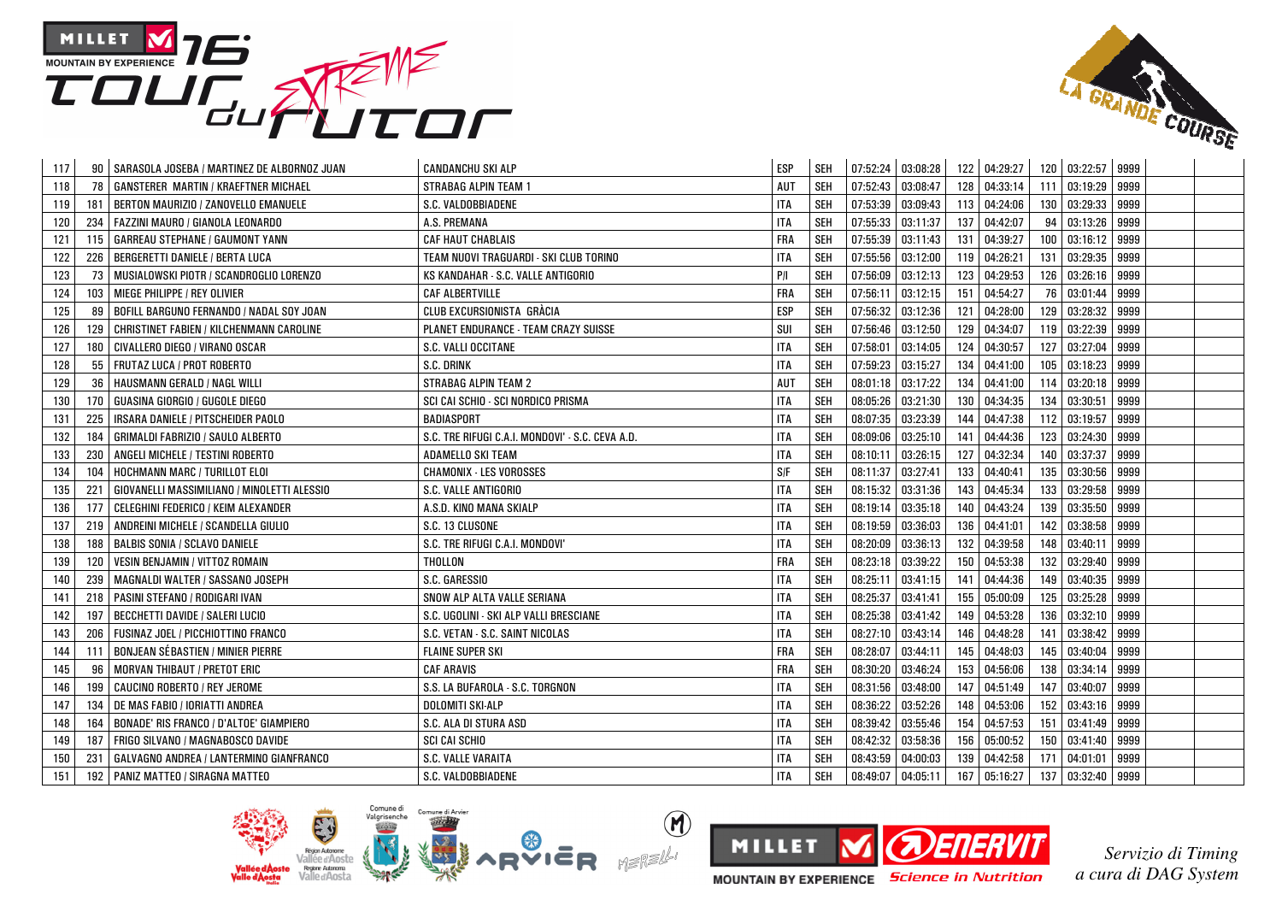



| 117 |     | SARASOLA JOSEBA / MARTINEZ DE ALBORNOZ JUAN | <b>CANDANCHU SKI ALP</b>                         | <b>ESP</b> | <b>SEH</b> | 07:52:24 03:08:28   |                   |     | 122 04:29:27 |     | 120 03:22:57 9999 |      |  |
|-----|-----|---------------------------------------------|--------------------------------------------------|------------|------------|---------------------|-------------------|-----|--------------|-----|-------------------|------|--|
| 118 | 78  | <b>GANSTERER MARTIN / KRAEFTNER MICHAEL</b> | <b>STRABAG ALPIN TEAM 1</b>                      | AUT        | <b>SEH</b> | $07:52:43$ 03:08:47 |                   | 128 | 04:33:14     |     | 111 03:19:29      | 9999 |  |
| 119 | 181 | BERTON MAURIZIO / ZANOVELLO EMANUELE        | S.C. VALDOBBIADENE                               | <b>ITA</b> | <b>SEH</b> | 07:53:39            | 03:09:43          | 113 | 04:24:06     |     | 130 03:29:33      | 9999 |  |
| 120 | 234 | FAZZINI MAURO / GIANOLA LEONARDO            | A.S. PREMANA                                     | <b>ITA</b> | <b>SEH</b> | 07:55:33            | 03:11:37          | 137 | 04:42:07     | 94  | 03:13:26          | 9999 |  |
| 121 | 115 | <b>GARREAU STEPHANE / GAUMONT YANN</b>      | <b>CAF HAUT CHABLAIS</b>                         | <b>FRA</b> | <b>SEH</b> | 07:55:39            | 03:11:43          | 131 | 04:39:27     | 100 | 03:16:12          | 9999 |  |
| 122 | 226 | BERGERETTI DANIELE / BERTA LUCA             | TEAM NUOVI TRAGUARDI - SKI CLUB TORINO           | <b>ITA</b> | SEH        | 07:55:56            | 03:12:00          | 119 | 04:26:21     |     | 131 03:29:35      | 9999 |  |
| 123 | 73  | MUSIALOWSKI PIOTR / SCANDROGLIO LORENZO     | KS KANDAHAR - S.C. VALLE ANTIGORIO               | P/I        | <b>SEH</b> | 07:56:09            | 03:12:13          | 123 | 04:29:53     |     | 126 03:26:16      | 9999 |  |
| 124 | 103 | MIEGE PHILIPPE / REY OLIVIER                | <b>CAF ALBERTVILLE</b>                           | <b>FRA</b> | <b>SEH</b> | 07:56:11            | 03:12:15          | 151 | 04:54:27     | 76  | 03:01:44 9999     |      |  |
| 125 | 89  | BOFILL BARGUNO FERNANDO / NADAL SOY JOAN    | CLUB EXCURSIONISTA GRÀCIA                        | <b>ESP</b> | <b>SEH</b> | 07:56:32            | 03:12:36          | 121 | 04:28:00     | 129 | 03:28:32          | 9999 |  |
| 126 | 129 | CHRISTINET FABIEN / KILCHENMANN CAROLINE    | <b>PLANET ENDURANCE - TEAM CRAZY SUISSE</b>      | SUI        | <b>SEH</b> | 07:56:46 03:12:50   |                   | 129 | 04:34:07     | 119 | 03:22:39          | 9999 |  |
| 127 | 180 | CIVALLERO DIEGO / VIRANO OSCAR              | S.C. VALLI OCCITANE                              | <b>ITA</b> | <b>SEH</b> | 07:58:01            | 03:14:05          | 124 | 04:30:57     |     | 127 03:27:04      | 9999 |  |
| 128 | 55  | FRUTAZ LUCA / PROT ROBERTO                  | S.C. DRINK                                       | <b>ITA</b> | <b>SEH</b> | 07:59:23            | 03:15:27          | 134 | 04:41:00     | 105 | 03:18:23          | 9999 |  |
| 129 | 36  | HAUSMANN GERALD / NAGL WILLI                | <b>STRABAG ALPIN TEAM 2</b>                      | AUT        | <b>SEH</b> | 08:01:18 03:17:22   |                   | 134 | 04:41:00     |     | 114 03:20:18      | 9999 |  |
| 130 | 170 | GUASINA GIORGIO / GUGOLE DIEGO              | SCI CAI SCHIO - SCI NORDICO PRISMA               | <b>ITA</b> | <b>SEH</b> | 08:05:26 03:21:30   |                   | 130 | 04:34:35     |     | 134 03:30:51      | 9999 |  |
| 131 | 225 | IRSARA DANIELE / PITSCHEIDER PAOLO          | <b>BADIASPORT</b>                                | <b>ITA</b> | <b>SEH</b> |                     | 08:07:35 03:23:39 | 144 | 04:47:38     |     | 112 03:19:57 9999 |      |  |
| 132 | 184 | GRIMALDI FABRIZIO / SAULO ALBERTO           | S.C. TRE RIFUGI C.A.I. MONDOVI' - S.C. CEVA A.D. | <b>ITA</b> | <b>SEH</b> | 08:09:06            | 03:25:10          | 141 | 04:44:36     |     | 123 03:24:30      | 9999 |  |
| 133 | 230 | ANGELI MICHELE / TESTINI ROBERTO            | ADAMELLO SKI TEAM                                | <b>ITA</b> | <b>SEH</b> |                     | 08:10:11 03:26:15 | 127 | 04:32:34     |     | 140 03:37:37      | 9999 |  |
| 134 | 104 | HOCHMANN MARC / TURILLOT ELOI               | <b>CHAMONIX - LES VOROSSES</b>                   | S/F        | <b>SEH</b> | 08:11:37 03:27:41   |                   | 133 | 04:40:41     |     | 135 03:30:56      | 9999 |  |
| 135 | 221 | GIOVANELLI MASSIMILIANO / MINOLETTI ALESSIO | S.C. VALLE ANTIGORIO                             | <b>ITA</b> | <b>SEH</b> | 08:15:32            | 03:31:36          | 143 | 04:45:34     | 133 | 03:29:58          | 9999 |  |
| 136 | 177 | CELEGHINI FEDERICO / KEIM ALEXANDER         | A.S.D. KINO MANA SKIALP                          | <b>ITA</b> | <b>SEH</b> | 08:19:14 03:35:18   |                   | 140 | 04:43:24     | 139 | 03:35:50 9999     |      |  |
| 137 | 219 | ANDREINI MICHELE / SCANDELLA GIULIO         | S.C. 13 CLUSONE                                  | <b>ITA</b> | <b>SEH</b> |                     | 08:19:59 03:36:03 | 136 | 04:41:01     |     | 142 03:38:58      | 9999 |  |
| 138 | 188 | <b>BALBIS SONIA / SCLAVO DANIELE</b>        | S.C. TRE RIFUGI C.A.I. MONDOVI'                  | <b>ITA</b> | <b>SEH</b> | 08:20:09            | 03:36:13          | 132 | 04:39:58     |     | 148 03:40:11      | 9999 |  |
| 139 | 120 | VESIN BENJAMIN / VITTOZ ROMAIN              | THOLLON                                          | <b>FRA</b> | <b>SEH</b> | 08:23:18            | 03:39:22          | 150 | 04:53:38     | 132 | 03:29:40          | 9999 |  |
| 140 | 239 | MAGNALDI WALTER / SASSANO JOSEPH            | S.C. GARESSIO                                    | <b>ITA</b> | <b>SEH</b> | 08:25:11            | 03:41:15          | 141 | 04:44:36     | 149 | 03:40:35          | 9999 |  |
| 141 | 218 | PASINI STEFANO / RODIGARI IVAN              | SNOW ALP ALTA VALLE SERIANA                      | <b>ITA</b> | <b>SEH</b> | 08:25:37            | 03:41:41          | 155 | 05:00:09     | 125 | 03:25:28          | 9999 |  |
| 142 | 197 | <b>BECCHETTI DAVIDE / SALERI LUCIO</b>      | S.C. UGOLINI - SKI ALP VALLI BRESCIANE           | <b>ITA</b> | <b>SEH</b> | 08:25:38            | 03:41:42          | 149 | 04:53:28     | 136 | 03:32:10          | 9999 |  |
| 143 | 206 | FUSINAZ JOEL / PICCHIOTTINO FRANCO          | S.C. VETAN - S.C. SAINT NICOLAS                  | <b>ITA</b> | <b>SEH</b> | 08:27:10            | 03:43:14          | 146 | 04:48:28     | 141 | 03:38:42          | 9999 |  |
| 144 | 111 | <b>BONJEAN SÉBASTIEN / MINIER PIERRE</b>    | <b>FLAINE SUPER SKI</b>                          | <b>FRA</b> | <b>SEH</b> | 08:28:07 03:44:11   |                   | 145 | 04:48:03     |     | 145 03:40:04      | 9999 |  |
| 145 | 96  | <b>MORVAN THIBAUT / PRETOT ERIC</b>         | <b>CAF ARAVIS</b>                                | <b>FRA</b> | <b>SEH</b> | 08:30:20 03:46:24   |                   | 153 | 04:56:06     |     | 138 03:34:14      | 9999 |  |
| 146 | 199 | CAUCINO ROBERTO / REY JEROME                | S.S. LA BUFAROLA - S.C. TORGNON                  | <b>ITA</b> | <b>SEH</b> | 08:31:56 03:48:00   |                   | 147 | 04:51:49     |     | 147 03:40:07      | 9999 |  |
| 147 | 134 | DE MAS FABIO / IORIATTI ANDREA              | <b>DOLOMITI SKI-ALP</b>                          | <b>ITA</b> | <b>SEH</b> | 08:36:22            | 03:52:26          | 148 | 04:53:06     |     | 152 03:43:16      | 9999 |  |
| 148 | 164 | BONADE' RIS FRANCO / D'ALTOE' GIAMPIERO     | S.C. ALA DI STURA ASD                            | <b>ITA</b> | <b>SEH</b> | 08:39:42            | 03:55:46          | 154 | 04:57:53     |     | 151 03:41:49      | 9999 |  |
| 149 | 187 | FRIGO SILVANO / MAGNABOSCO DAVIDE           | SCI CAI SCHIO                                    | <b>ITA</b> | <b>SEH</b> | 08:42:32            | 03:58:36          | 156 | 05:00:52     |     | 150 03:41:40 9999 |      |  |
| 150 | 231 | GALVAGNO ANDREA / LANTERMINO GIANFRANCO     | S.C. VALLE VARAITA                               | <b>ITA</b> | <b>SEH</b> | 08:43:59            | 04:00:03          | 139 | 04:42:58     | 171 | 04:01:01          | 9999 |  |
| 151 | 192 | <b>PANIZ MATTEO / SIRAGNA MATTEO</b>        | S.C. VALDOBBIADENE                               | <b>ITA</b> | <b>SEH</b> | 08:49:07 04:05:11   |                   | 167 | 05:16:27     |     | 137 03:32:40 9999 |      |  |



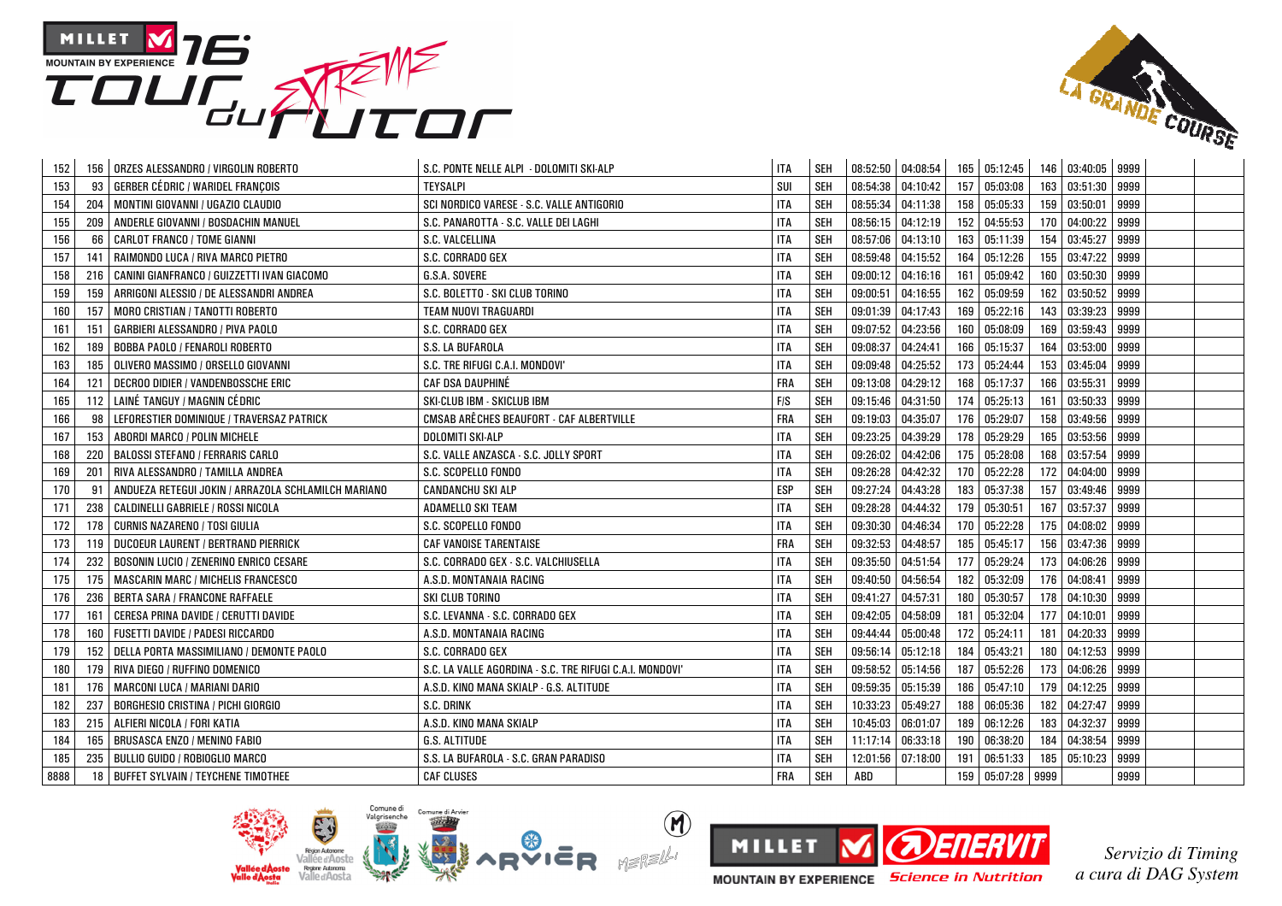



| 152        | 156 | ORZES ALESSANDRO / VIRGOLIN ROBERTO                 | S.C. PONTE NELLE ALPI - DOLOMITI SKI-ALP                 | <b>ITA</b> | SEH        |                   | 08:52:50 04:08:54 |     | 165 05:12:45  |     | 146 03:40:05 9999 |      |  |
|------------|-----|-----------------------------------------------------|----------------------------------------------------------|------------|------------|-------------------|-------------------|-----|---------------|-----|-------------------|------|--|
| 153        | 93  | <b>GERBER CÉDRIC / WARIDEL FRANCOIS</b>             | <b>TEYSALPI</b>                                          | SUI        | <b>SEH</b> | 08:54:38          | 04:10:42          | 157 | 05:03:08      |     | 163 03:51:30      | 9999 |  |
| 154<br>204 |     | MONTINI GIOVANNI / UGAZIO CLAUDIO                   | SCI NORDICO VARESE - S.C. VALLE ANTIGORIO                | <b>ITA</b> | <b>SEH</b> | 08:55:34          | 04:11:38          | 158 | 05:05:33      |     | 159 03:50:01      | 9999 |  |
| 155<br>209 |     | ANDERLE GIOVANNI / BOSDACHIN MANUEL                 | S.C. PANAROTTA - S.C. VALLE DEI LAGHI                    | <b>ITA</b> | <b>SEH</b> | 08:56:15 04:12:19 |                   | 152 | 04:55:53      |     | 170 04:00:22      | 9999 |  |
| 156        | 66  | <b>CARLOT FRANCO / TOME GIANNI</b>                  | S.C. VALCELLINA                                          | <b>ITA</b> | <b>SEH</b> | 08:57:06          | 04:13:10          | 163 | 05:11:39      | 154 | 03:45:27          | 9999 |  |
| 157<br>141 |     | RAIMONDO LUCA / RIVA MARCO PIETRO                   | S.C. CORRADO GEX                                         | <b>ITA</b> | <b>SEH</b> | 08:59:48          | 04:15:52          | 164 | 05:12:26      |     | 155 03:47:22      | 9999 |  |
| 158        | 216 | CANINI GIANFRANCO / GUIZZETTI IVAN GIACOMO          | G.S.A. SOVERE                                            | <b>ITA</b> | SEH        |                   | 09:00:12 04:16:16 | 161 | 05:09:42      |     | 160 03:50:30 9999 |      |  |
| 159<br>159 |     | ARRIGONI ALESSIO / DE ALESSANDRI ANDREA             | S.C. BOLETTO - SKI CLUB TORINO                           | <b>ITA</b> | <b>SEH</b> | 09:00:51          | 04:16:55          | 162 | 05:09:59      |     | 162 03:50:52 9999 |      |  |
| 157<br>160 |     | MORO CRISTIAN / TANOTTI ROBERTO                     | TEAM NUOVI TRAGUARDI                                     | <b>ITA</b> | <b>SEH</b> | 09:01:39          | 04:17:43          | 169 | 05:22:16      |     | 143 03:39:23      | 9999 |  |
| 161<br>151 |     | GARBIERI ALESSANDRO / PIVA PAOLO                    | S.C. CORRADO GEX                                         | <b>ITA</b> | <b>SEH</b> | 09:07:52          | 04:23:56          | 160 | 05:08:09      | 169 | 03:59:43          | 9999 |  |
| 162        | 189 | <b>BOBBA PAOLO / FENAROLI ROBERTO</b>               | S.S. LA BUFAROLA                                         | <b>ITA</b> | <b>SEH</b> | 09:08:37          | 04:24:41          | 166 | 05:15:37      | 164 | 03:53:00          | 9999 |  |
| 163<br>185 |     | OLIVERO MASSIMO / ORSELLO GIOVANNI                  | S.C. TRE RIFUGI C.A.I. MONDOVI'                          | <b>ITA</b> | <b>SEH</b> | 09:09:48          | 04:25:52          | 173 | 05:24:44      |     | 153 03:45:04      | 9999 |  |
| 164<br>121 |     | DECROO DIDIER / VANDENBOSSCHE ERIC                  | CAF DSA DAUPHINÉ                                         | <b>FRA</b> | <b>SEH</b> | 09:13:08          | 04:29:12          | 168 | 05:17:37      | 166 | 03:55:31          | 9999 |  |
| 165        |     | 112 LAINÉ TANGUY / MAGNIN CÉDRIC                    | SKI-CLUB IBM - SKICLUB IBM                               | F/S        | SEH        |                   | 09:15:46 04:31:50 | 174 | 05:25:13      |     | 161 03:50:33 9999 |      |  |
| 166        | 98  | LEFORESTIER DOMINIQUE / TRAVERSAZ PATRICK           | CMSAB ARÊCHES BEAUFORT - CAF ALBERTVILLE                 | <b>FRA</b> | SEH        | 09:19:03          | 04:35:07          | 176 | 05:29:07      |     | 158 03:49:56      | 9999 |  |
| 167<br>153 |     | ABORDI MARCO / POLIN MICHELE                        | <b>DOLOMITI SKI-ALP</b>                                  | ITA        | <b>SEH</b> | 09:23:25          | 04:39:29          | 178 | 05:29:29      |     | 165 03:53:56 9999 |      |  |
| 168<br>220 |     | <b>BALOSSI STEFANO / FERRARIS CARLO</b>             | S.C. VALLE ANZASCA - S.C. JOLLY SPORT                    | <b>ITA</b> | <b>SEH</b> | 09:26:02          | 04:42:06          | 175 | 05:28:08      |     | 168 03:57:54      | 9999 |  |
| 169<br>201 |     | RIVA ALESSANDRO / TAMILLA ANDREA                    | S.C. SCOPELLO FONDO                                      | <b>ITA</b> | <b>SEH</b> | 09:26:28          | 04:42:32          | 170 | 05:22:28      |     | 172 04:04:00      | 9999 |  |
| 170        | 91  | ANDUEZA RETEGUI JOKIN / ARRAZOLA SCHLAMILCH MARIANO | <b>CANDANCHU SKI ALP</b>                                 | <b>ESP</b> | <b>SEH</b> | 09:27:24          | 04:43:28          | 183 | 05:37:38      | 157 | 03:49:46          | 9999 |  |
| 171<br>238 |     | CALDINELLI GABRIELE / ROSSI NICOLA                  | ADAMELLO SKI TEAM                                        | <b>ITA</b> | <b>SEH</b> | 09:28:28          | 04:44:32          | 179 | 05:30:51      | 167 | 03:57:37          | 9999 |  |
| 172        | 178 | <b>CURNIS NAZARENO / TOSI GIULIA</b>                | S.C. SCOPELLO FONDO                                      | <b>ITA</b> | <b>SEH</b> | 09:30:30          | 04:46:34          | 170 | 05:22:28      |     | 175 04:08:02 9999 |      |  |
| 173        | 119 | <b>DUCOEUR LAURENT / BERTRAND PIERRICK</b>          | <b>CAF VANOISE TARENTAISE</b>                            | FRA        | <b>SEH</b> | 09:32:53          | 04:48:57          | 185 | 05:45:17      |     | 156 03:47:36      | 9999 |  |
| 174<br>232 |     | BOSONIN LUCIO / ZENERINO ENRICO CESARE              | S.C. CORRADO GEX - S.C. VALCHIUSELLA                     | <b>ITA</b> | <b>SEH</b> | 09:35:50          | 04:51:54          | 177 | 05:29:24      |     | 173 04:06:26      | 9999 |  |
| 175        | 175 | MASCARIN MARC / MICHELIS FRANCESCO                  | A.S.D. MONTANAIA RACING                                  | <b>ITA</b> | <b>SEH</b> | 09:40:50          | 04:56:54          | 182 | 05:32:09      |     | 176 04:08:41 9999 |      |  |
| 176<br>236 |     | BERTA SARA / FRANCONE RAFFAELE                      | SKI CLUB TORINO                                          | <b>ITA</b> | <b>SEH</b> | 09:41:27          | 04:57:31          | 180 | 05:30:57      |     | 178 04:10:30      | 9999 |  |
| 177<br>161 |     | CERESA PRINA DAVIDE / CERUTTI DAVIDE                | S.C. LEVANNA - S.C. CORRADO GEX                          | <b>ITA</b> | <b>SEH</b> | 09:42:05          | 04:58:09          | 181 | 05:32:04      | 177 | 04:10:01          | 9999 |  |
| 178<br>160 |     | FUSETTI DAVIDE / PADESI RICCARDO                    | A.S.D. MONTANAIA RACING                                  | <b>ITA</b> | <b>SEH</b> | 09:44:44          | 05:00:48          | 172 | 05:24:11      | 181 | 04:20:33          | 9999 |  |
| 179        | 152 | DELLA PORTA MASSIMILIANO / DEMONTE PAOLO            | S.C. CORRADO GEX                                         | <b>ITA</b> | <b>SEH</b> | 09:56:14          | 05:12:18          | 184 | 05:43:21      |     | 180 04:12:53      | 9999 |  |
| 180        | 179 | RIVA DIEGO / RUFFINO DOMENICO                       | S.C. LA VALLE AGORDINA - S.C. TRE RIFUGI C.A.I. MONDOVI' | <b>ITA</b> | <b>SEH</b> | 09:58:52 05:14:56 |                   | 187 | 05:52:26      |     | 173 04:06:26      | 9999 |  |
| 181        | 176 | MARCONI LUCA / MARIANI DARIO                        | A.S.D. KINO MANA SKIALP - G.S. ALTITUDE                  | <b>ITA</b> | <b>SEH</b> | 09:59:35          | 05:15:39          | 186 | 05:47:10      |     | 179 04:12:25      | 9999 |  |
| 182<br>237 |     | <b>BORGHESIO CRISTINA / PICHI GIORGIO</b>           | S.C. DRINK                                               | <b>ITA</b> | <b>SEH</b> | 10:33:23          | 05:49:27          | 188 | 06:05:36      |     | 182 04:27:47      | 9999 |  |
| 183        | 215 | ALFIERI NICOLA / FORI KATIA                         | A.S.D. KINO MANA SKIALP                                  | <b>ITA</b> | <b>SEH</b> | 10:45:03          | 06:01:07          | 189 | 06:12:26      |     | 183 04:32:37      | 9999 |  |
| 184<br>165 |     | BRUSASCA ENZO / MENINO FABIO                        | G.S. ALTITUDE                                            | <b>ITA</b> | <b>SEH</b> | 11:17:14          | 06:33:18          | 190 | 06:38:20      |     | 184 04:38:54      | 9999 |  |
| 185        | 235 | BULLIO GUIDO / ROBIOGLIO MARCO                      | S.S. LA BUFAROLA - S.C. GRAN PARADISO                    | <b>ITA</b> | <b>SEH</b> | 12:01:56          | 07:18:00          | 191 | 06:51:33      |     | 185 05:10:23      | 9999 |  |
| 8888       | 18  | <b>BUFFET SYLVAIN / TEYCHENE TIMOTHEE</b>           | <b>CAF CLUSES</b>                                        | <b>FRA</b> | <b>SEH</b> | ABD               |                   | 159 | 05:07:28 9999 |     |                   | 9999 |  |



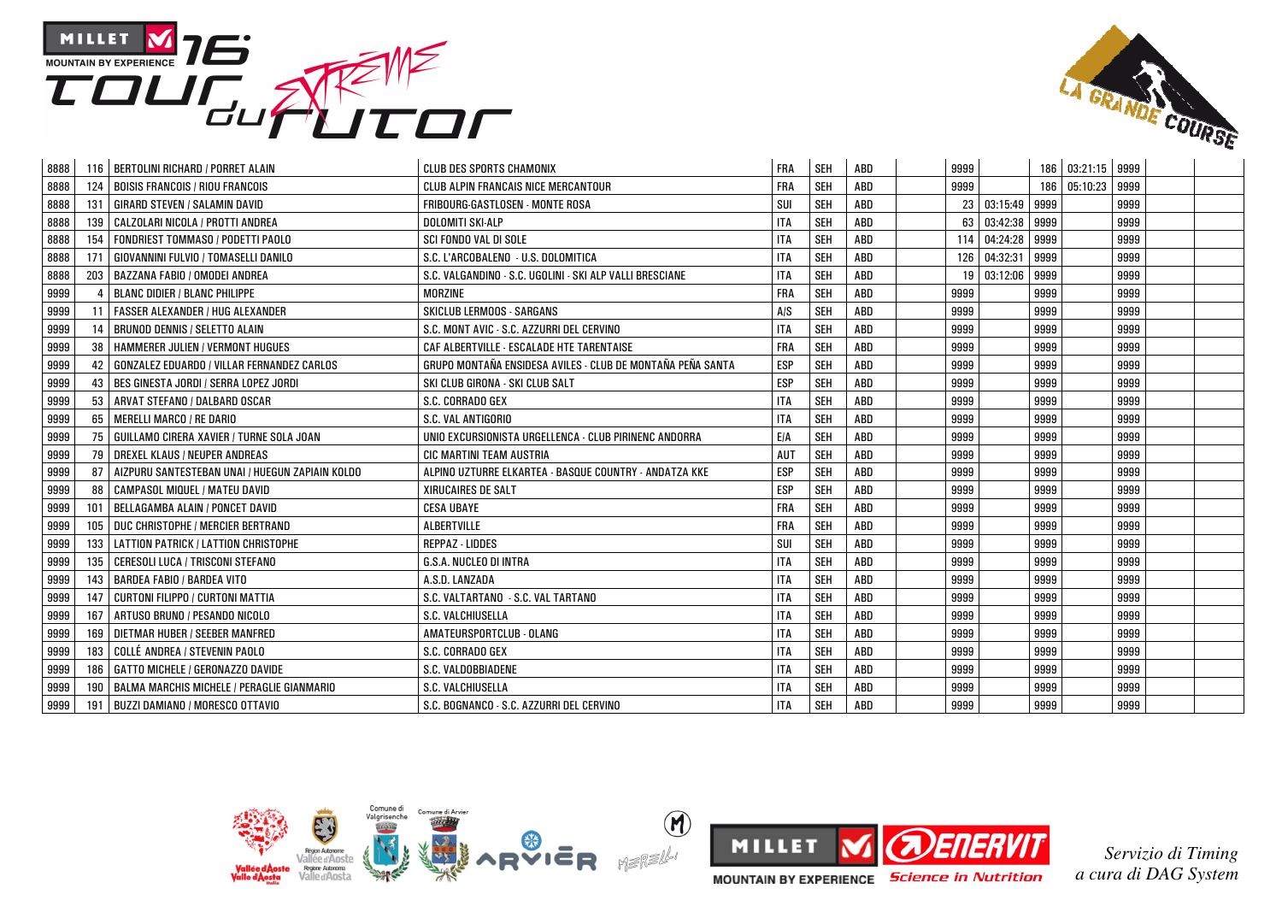



| 8888 |     | 116   BERTOLINI RICHARD / PORRET ALAIN            | <b>CLUB DES SPORTS CHAMONIX</b>                            | <b>FRA</b> | <b>SEH</b> | ABD | 9999 |               |      | 186 03:21:15 9999 |      |  |
|------|-----|---------------------------------------------------|------------------------------------------------------------|------------|------------|-----|------|---------------|------|-------------------|------|--|
| 8888 | 124 | <b>BOISIS FRANCOIS / RIOU FRANCOIS</b>            | <b>CLUB ALPIN FRANCAIS NICE MERCANTOUR</b>                 | <b>FRA</b> | SEH        | ABD | 9999 |               | 186  | 05:10:23          | 9999 |  |
| 8888 | 131 | <b>GIRARD STEVEN / SALAMIN DAVID</b>              | FRIBOURG-GASTLOSEN - MONTE ROSA                            | SUI        | SEH        | ABD | 23   | 03:15:49      | 9999 |                   | 9999 |  |
| 8888 | 139 | CALZOLARI NICOLA / PROTTI ANDREA                  | DOLOMITI SKI-ALP                                           | <b>ITA</b> | SEH        | ABD | 63   | 03:42:38      | 9999 |                   | 9999 |  |
| 8888 | 154 | FONDRIEST TOMMASO / PODETTI PAOLO                 | <b>SCI FONDO VAL DI SOLE</b>                               | <b>ITA</b> | SEH        | ABD | 114  | 04:24:28 9999 |      |                   | 9999 |  |
| 8888 | 171 | GIOVANNINI FULVIO / TOMASELLI DANILO              | S.C. L'ARCOBALENO - U.S. DOLOMITICA                        | <b>ITA</b> | SEH        | ABD | 126  | 04:32:31      | 9999 |                   | 9999 |  |
| 8888 | 203 | BAZZANA FABIO / OMODEI ANDREA                     | S.C. VALGANDINO - S.C. UGOLINI - SKI ALP VALLI BRESCIANE   | <b>ITA</b> | <b>SEH</b> | ABD | 19   | 03:12:06      | 9999 |                   | 9999 |  |
| 9999 |     | <b>BLANC DIDIER / BLANC PHILIPPE</b>              | MORZINE                                                    | <b>FRA</b> | SEH        | ABD | 9999 |               | 9999 |                   | 9999 |  |
| 9999 |     | <b>FASSER ALEXANDER / HUG ALEXANDER</b>           | <b>SKICLUB LERMOOS - SARGANS</b>                           | A/S        | SEH        | ABD | 9999 |               | 9999 |                   | 9999 |  |
| 9999 | 14  | <b>BRUNOD DENNIS / SELETTO ALAIN</b>              | S.C. MONT AVIC - S.C. AZZURRI DEL CERVINO                  | <b>ITA</b> | SEH        | ABD | 9999 |               | 9999 |                   | 9999 |  |
| 9999 | 38  | <b>HAMMERER JULIEN / VERMONT HUGUES</b>           | CAF ALBERTVILLE - ESCALADE HTE TARENTAISE                  | <b>FRA</b> | SEH        | ABD | 9999 |               | 9999 |                   | 9999 |  |
| 9999 | 42  | GONZALEZ EDUARDO / VILLAR FERNANDEZ CARLOS        | GRUPO MONTAÑA ENSIDESA AVILES - CLUB DE MONTAÑA PEÑA SANTA | <b>ESP</b> | <b>SEH</b> | ABD | 9999 |               | 9999 |                   | 9999 |  |
| 9999 | 43  | BES GINESTA JORDI / SERRA LOPEZ JORDI             | SKI CLUB GIRONA - SKI CLUB SALT                            | <b>ESP</b> | <b>SEH</b> | ABD | 9999 |               | 9999 |                   | 9999 |  |
| 9999 | 53  | ARVAT STEFANO / DALBARD OSCAR                     | S.C. CORRADO GEX                                           | <b>ITA</b> | SEH        | ABD | 9999 |               | 9999 |                   | 9999 |  |
| 9999 | 65  | <b>MERELLI MARCO / RE DARIO</b>                   | S.C. VAL ANTIGORIO                                         | <b>ITA</b> | SEH        | ABD | 9999 |               | 9999 |                   | 9999 |  |
| 9999 | 75  | GUILLAMO CIRERA XAVIER / TURNE SOLA JOAN          | UNIO EXCURSIONISTA URGELLENCA - CLUB PIRINENC ANDORRA      | <b>E/A</b> | SEH        | ABD | 9999 |               | 9999 |                   | 9999 |  |
| 9999 | 79  | DREXEL KLAUS / NEUPER ANDREAS                     | CIC MARTINI TEAM AUSTRIA                                   | AUT        | <b>SEH</b> | ABD | 9999 |               | 9999 |                   | 9999 |  |
| 9999 | 87  | AIZPURU SANTESTEBAN UNAI / HUEGUN ZAPIAIN KOLDO   | ALPINO UZTURRE ELKARTEA - BASQUE COUNTRY - ANDATZA KKE     | <b>ESP</b> | <b>SEH</b> | ABD | 9999 |               | 9999 |                   | 9999 |  |
| 9999 | 88  | CAMPASOL MIQUEL / MATEU DAVID                     | <b>XIRUCAIRES DE SALT</b>                                  | <b>ESP</b> | <b>SEH</b> | ABD | 9999 |               | 9999 |                   | 9999 |  |
| 9999 | 101 | BELLAGAMBA ALAIN / PONCET DAVID                   | <b>CESA UBAYE</b>                                          | <b>FRA</b> | SEH        | ABD | 9999 |               | 9999 |                   | 9999 |  |
| 9999 | 105 | DUC CHRISTOPHE / MERCIER BERTRAND                 | ALBERTVILLE                                                | <b>FRA</b> | SEH        | ABD | 9999 |               | 9999 |                   | 9999 |  |
| 9999 | 133 | <b>LATTION PATRICK / LATTION CHRISTOPHE</b>       | REPPAZ - LIDDES                                            | SUI        | SEH        | ABD | 9999 |               | 9999 |                   | 9999 |  |
| 9999 | 135 | CERESOLI LUCA / TRISCONI STEFANO                  | G.S.A. NUCLEO DI INTRA                                     | <b>ITA</b> | SEH        | ABD | 9999 |               | 9999 |                   | 9999 |  |
| 9999 | 143 | <b>BARDEA FABIO / BARDEA VITO</b>                 | A.S.D. LANZADA                                             | <b>ITA</b> | <b>SEH</b> | ABD | 9999 |               | 9999 |                   | 9999 |  |
| 9999 | 147 | <b>CURTONI FILIPPO / CURTONI MATTIA</b>           | S.C. VALTARTANO - S.C. VAL TARTANO                         | <b>ITA</b> | SEH        | ABD | 9999 |               | 9999 |                   | 9999 |  |
| 9999 | 167 | ARTUSO BRUNO / PESANDO NICOLO                     | S.C. VALCHIUSELLA                                          | <b>ITA</b> | SEH        | ABD | 9999 |               | 9999 |                   | 9999 |  |
| 9999 | 169 | DIETMAR HUBER / SEEBER MANFRED                    | AMATEURSPORTCLUB - OLANG                                   | <b>ITA</b> | SEH        | ABD | 9999 |               | 9999 |                   | 9999 |  |
| 9999 | 183 | COLLÉ ANDREA / STEVENIN PAOLO                     | S.C. CORRADO GEX                                           | <b>ITA</b> | <b>SEH</b> | ABD | 9999 |               | 9999 |                   | 9999 |  |
| 9999 | 186 | GATTO MICHELE / GERONAZZO DAVIDE                  | S.C. VALDOBBIADENE                                         | <b>ITA</b> | <b>SEH</b> | ABD | 9999 |               | 9999 |                   | 9999 |  |
| 9999 | 190 | <b>BALMA MARCHIS MICHELE / PERAGLIE GIANMARIO</b> | S.C. VALCHIUSELLA                                          | <b>ITA</b> | SEH        | ABD | 9999 |               | 9999 |                   | 9999 |  |
| 9999 | 191 | <b>BUZZI DAMIANO / MORESCO OTTAVIO</b>            | S.C. BOGNANCO - S.C. AZZURRI DEL CERVINO                   | <b>ITA</b> | <b>SEH</b> | ABD | 9999 |               | 9999 |                   | 9999 |  |



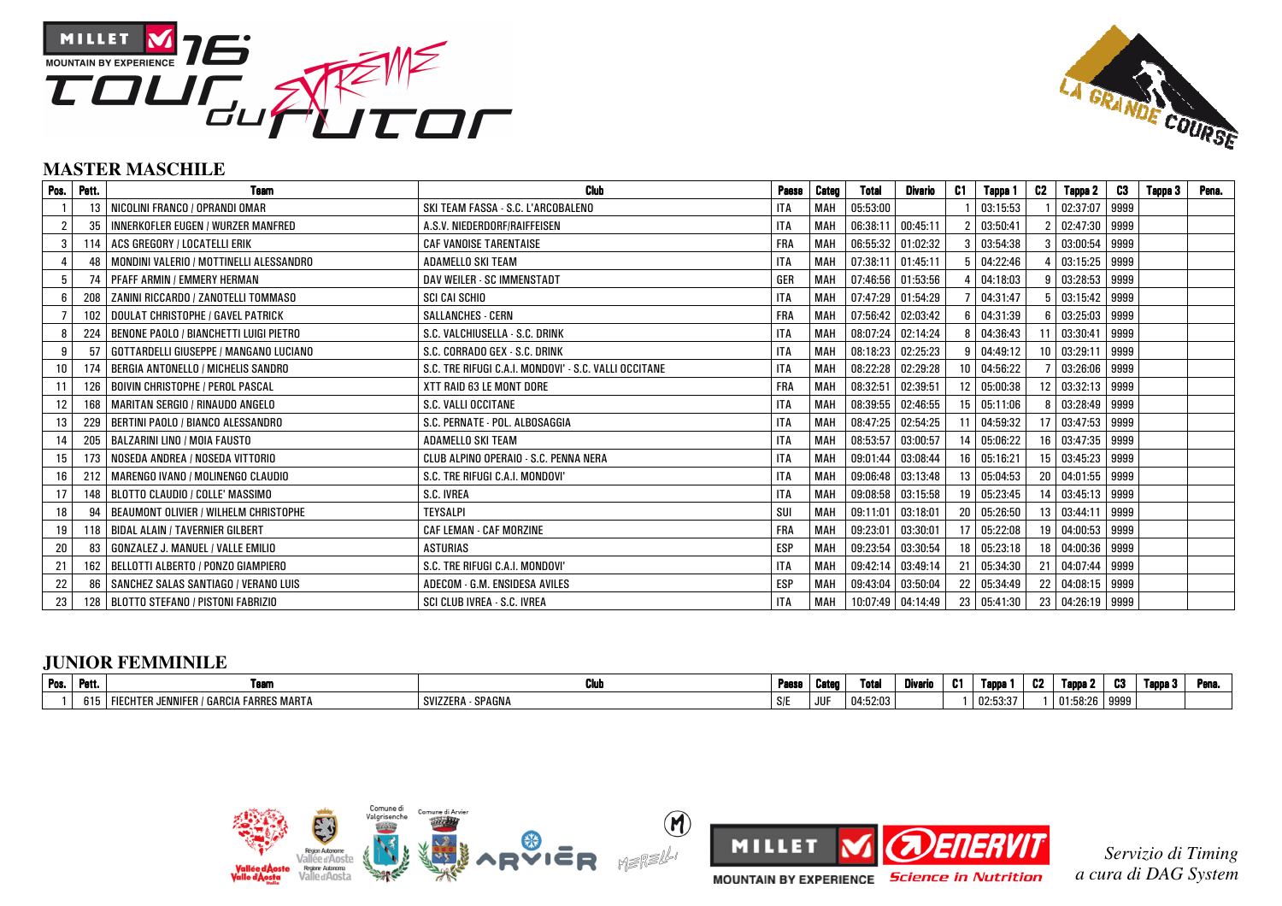



### **MASTER MASCHILE**

| Pos. | Pett. | <b>Team</b>                              | <b>Club</b>                                           | Paese      | Categ      | Total               | Divario           | C1              | Tappa 1     | C2              | Tappa 2           | C3   | Tappa 3 | Pena. |
|------|-------|------------------------------------------|-------------------------------------------------------|------------|------------|---------------------|-------------------|-----------------|-------------|-----------------|-------------------|------|---------|-------|
|      | 13    | NICOLINI FRANCO / OPRANDI OMAR           | SKI TEAM FASSA - S.C. L'ARCOBALENO                    | <b>ITA</b> | MAH        | 05:53:00            |                   |                 | 03:15:53    |                 | 02:37:07          | 9999 |         |       |
|      | 35    | INNERKOFLER EUGEN / WURZER MANFRED       | A.S.V. NIEDERDORF/RAIFFEISEN                          | <b>ITA</b> | <b>MAH</b> | 06:38:11 00:45:11   |                   |                 | 03:50:41    |                 | 02:47:30          | 9999 |         |       |
|      | 114   | ACS GREGORY / LOCATELLI ERIK             | <b>CAF VANOISE TARENTAISE</b>                         | FRA        | MAH        | 06:55:32 01:02:32   |                   |                 | 03:54:38    |                 | 03:00:54          | 9999 |         |       |
|      | 48    | MONDINI VALERIO / MOTTINELLI ALESSANDRO  | <b>ADAMELLO SKI TEAM</b>                              | <b>ITA</b> | MAH        | $07:38:11$ 01:45:11 |                   |                 | 04:22:46    |                 | 03:15:25          | 9999 |         |       |
| 5    | 74    | <b>PFAFF ARMIN / EMMERY HERMAN</b>       | DAV WEILER - SC IMMENSTADT                            | GER        | MAH        | 07:46:56 01:53:56   |                   |                 | 04:18:03    | g               | 03:28:53          | 9999 |         |       |
| 6    | 208   | ZANINI RICCARDO / ZANOTELLI TOMMASO      | SCI CAI SCHIO                                         | <b>ITA</b> | MAH        | 07:47:29 01:54:29   |                   |                 | 04:31:47    |                 | 03:15:42          | 9999 |         |       |
|      | 102   | <b>DOULAT CHRISTOPHE / GAVEL PATRICK</b> | SALLANCHES - CERN                                     | FRA        | МАН        | 07:56:42 02:03:42   |                   |                 | 04:31:39    |                 | $6 \mid 03:25:03$ | 9999 |         |       |
| 8    | 224   | BENONE PAOLO / BIANCHETTI LUIGI PIETRO   | S.C. VALCHIUSELLA - S.C. DRINK                        | <b>ITA</b> | <b>MAH</b> | 08:07:24            | 02:14:24          |                 | 04:36:43    |                 | 03:30:41          | 9999 |         |       |
| 9    | 57    | GOTTARDELLI GIUSEPPE / MANGANO LUCIANO   | S.C. CORRADO GEX - S.C. DRINK                         | <b>ITA</b> | MAH        | 08:18:23 02:25:23   |                   | 9               | 04:49:12    | 10 <sup>1</sup> | 03:29:11          | 9999 |         |       |
| 10   | 174   | BERGIA ANTONELLO / MICHELIS SANDRO       | S.C. TRE RIFUGI C.A.I. MONDOVI' - S.C. VALLI OCCITANE | <b>ITA</b> | MAH        | 08:22:28            | 02:29:28          | 10 <sup>°</sup> | 04:56:22    |                 | 03:26:06          | 9999 |         |       |
| 11   | 126   | <b>BOIVIN CHRISTOPHE / PEROL PASCAL</b>  | XTT RAID 63 LE MONT DORE                              | FRA        | <b>MAH</b> | 08:32:51            | 02:39:51          | 12 <sup>1</sup> | 05:00:38    | 12 <sup>1</sup> | 03:32:13 9999     |      |         |       |
| 12   | 168   | <b>MARITAN SERGIO / RINAUDO ANGELO</b>   | S.C. VALLI OCCITANE                                   | <b>ITA</b> | MAH        |                     | 08:39:55 02:46:55 |                 | 15 05:11:06 |                 | 03:28:49 9999     |      |         |       |
| 13   | 229   | BERTINI PAOLO / BIANCO ALESSANDRO        | S.C. PERNATE - POL. ALBOSAGGIA                        | <b>ITA</b> | МАН        | 08:47:25 02:54:25   |                   |                 | 11 04:59:32 |                 | 17 03:47:53       | 9999 |         |       |
| 14   | 205   | BALZARINI LINO / MOIA FAUSTO             | ADAMELLO SKI TEAM                                     | <b>ITA</b> | MAH        | 08:53:57 03:00:57   |                   |                 | 14 05:06:22 |                 | 16 03:47:35       | 9999 |         |       |
| 15   | 173   | NOSEDA ANDREA / NOSEDA VITTORIO          | CLUB ALPINO OPERAIO - S.C. PENNA NERA                 | <b>ITA</b> | <b>MAH</b> | 09:01:44 03:08:44   |                   |                 | 16 05:16:21 |                 | 15 03:45:23       | 9999 |         |       |
| 16   |       | 212   MARENGO IVANO / MOLINENGO CLAUDIO  | S.C. TRE RIFUGI C.A.I. MONDOVI'                       | <b>ITA</b> | МАН        | 09:06:48 03:13:48   |                   |                 | 13 05:04:53 |                 | 20 04:01:55       | 9999 |         |       |
| 17   | 148   | BLOTTO CLAUDIO / COLLE' MASSIMO          | S.C. IVREA                                            | <b>ITA</b> | <b>MAH</b> |                     | 09:08:58 03:15:58 |                 | 19 05:23:45 |                 | 14 03:45:13       | 9999 |         |       |
| 18   | 94    | BEAUMONT OLIVIER / WILHELM CHRISTOPHE    | <b>TEYSALPI</b>                                       | SUI        | MAH        | 09:11:01 03:18:01   |                   | 20 I            | 05:26:50    |                 | 13 03:44:11       | 9999 |         |       |
| 19   | 118   | <b>BIDAL ALAIN / TAVERNIER GILBERT</b>   | <b>CAF LEMAN - CAF MORZINE</b>                        | <b>FRA</b> | MAH        | 09:23:01            | 03:30:01          | 17 <sup>1</sup> | 05:22:08    | 19 <sup>1</sup> | 04:00:53          | 9999 |         |       |
| 20   | 83    | GONZALEZ J. MANUEL / VALLE EMILIO        | <b>ASTURIAS</b>                                       | <b>ESP</b> | MAH        | 09:23:54            | 03:30:54          |                 | 18 05:23:18 |                 | 18 04:00:36       | 9999 |         |       |
| 21   | 162   | BELLOTTI ALBERTO / PONZO GIAMPIERO       | S.C. TRE RIFUGI C.A.I. MONDOVI'                       | <b>ITA</b> | MAH        | 09:42:14 03:49:14   |                   |                 | 21 05:34:30 |                 | 21 04:07:44       | 9999 |         |       |
| 22   | 86    | SANCHEZ SALAS SANTIAGO / VERANO LUIS     | ADECOM - G.M. ENSIDESA AVILES                         | <b>ESP</b> | MAH        | 09:43:04 03:50:04   |                   |                 | 22 05:34:49 |                 | 22 04:08:15 9999  |      |         |       |
| 23   | 128   | BLOTTO STEFANO / PISTONI FABRIZIO        | SCI CLUB IVREA - S.C. IVREA                           | <b>ITA</b> | MAH        | 10:07:49 04:14:49   |                   |                 | 23 05:41:30 |                 | 23 04:26:19 9999  |      |         |       |

## **JUNIOR FEMMINILE**

| Pos. | Pett. | . саш                                               | - Chin<br>vw         | Paese | Cater      | Total    | Divario | . | <b>Tapp</b> | υZ | l ann.   | <b>COL</b><br>w | Tanna | п. –<br>. геп. |
|------|-------|-----------------------------------------------------|----------------------|-------|------------|----------|---------|---|-------------|----|----------|-----------------|-------|----------------|
|      | ט וט  | I FARRES MARTA<br>I FIECHTER JENNIFER /<br>. GARCIA | - SPAGNA<br>SVIZZER' | S/F   | <b>JUF</b> | 04:52:03 |         |   | 02:53:37    |    | 01:58:26 | 9999            |       |                |





*Servizio di Timing a cura di DAG System*